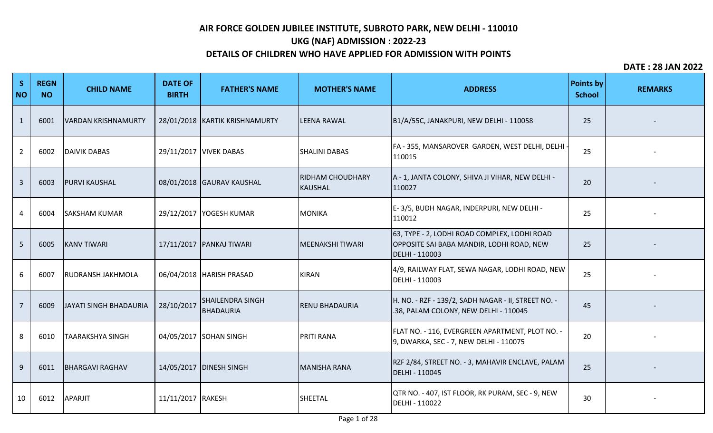# **UKG (NAF) ADMISSION : 2022-23**

## **DETAILS OF CHILDREN WHO HAVE APPLIED FOR ADMISSION WITH POINTS**

| S<br><b>NO</b> | <b>REGN</b><br><b>NO</b> | <b>CHILD NAME</b>        | <b>DATE OF</b><br><b>BIRTH</b> | <b>FATHER'S NAME</b>                        | <b>MOTHER'S NAME</b>               | <b>ADDRESS</b>                                                                                              | <b>Points by</b><br><b>School</b> | <b>REMARKS</b> |
|----------------|--------------------------|--------------------------|--------------------------------|---------------------------------------------|------------------------------------|-------------------------------------------------------------------------------------------------------------|-----------------------------------|----------------|
| 1              | 6001                     | VARDAN KRISHNAMURTY      |                                | 28/01/2018 KARTIK KRISHNAMURTY              | <b>LEENA RAWAL</b>                 | B1/A/55C, JANAKPURI, NEW DELHI - 110058                                                                     | 25                                |                |
| $\overline{2}$ | 6002                     | <b>DAIVIK DABAS</b>      |                                | 29/11/2017   VIVEK DABAS                    | <b>SHALINI DABAS</b>               | FA - 355, MANSAROVER GARDEN, WEST DELHI, DELHI<br>110015                                                    | 25                                |                |
| $\overline{3}$ | 6003                     | <b>PURVI KAUSHAL</b>     |                                | 08/01/2018 GAURAV KAUSHAL                   | <b>RIDHAM CHOUDHARY</b><br>KAUSHAL | A - 1, JANTA COLONY, SHIVA JI VIHAR, NEW DELHI -<br>110027                                                  | 20                                |                |
| 4              | 6004                     | <b>SAKSHAM KUMAR</b>     |                                | 29/12/2017   YOGESH KUMAR                   | MONIKA                             | E-3/5, BUDH NAGAR, INDERPURI, NEW DELHI-<br>110012                                                          | 25                                |                |
| 5              | 6005                     | <b>KANV TIWARI</b>       |                                | 17/11/2017 PANKAJ TIWARI                    | MEENAKSHI TIWARI                   | 63, TYPE - 2, LODHI ROAD COMPLEX, LODHI ROAD<br>OPPOSITE SAI BABA MANDIR, LODHI ROAD, NEW<br>DELHI - 110003 | 25                                |                |
| 6              | 6007                     | <b>RUDRANSH JAKHMOLA</b> |                                | 06/04/2018   HARISH PRASAD                  | <b>KIRAN</b>                       | 4/9, RAILWAY FLAT, SEWA NAGAR, LODHI ROAD, NEW<br>DELHI - 110003                                            | 25                                |                |
| $\overline{7}$ | 6009                     | JAYATI SINGH BHADAURIA   | 28/10/2017                     | <b>SHAILENDRA SINGH</b><br><b>BHADAURIA</b> | <b>RENU BHADAURIA</b>              | H. NO. - RZF - 139/2, SADH NAGAR - II, STREET NO. -<br>.38, PALAM COLONY, NEW DELHI - 110045                | 45                                |                |
| 8              | 6010                     | <b>TAARAKSHYA SINGH</b>  |                                | 04/05/2017 SOHAN SINGH                      | <b>PRITI RANA</b>                  | FLAT NO. - 116, EVERGREEN APARTMENT, PLOT NO. -<br>9, DWARKA, SEC - 7, NEW DELHI - 110075                   | 20                                |                |
| 9              | 6011                     | <b>BHARGAVI RAGHAV</b>   |                                | 14/05/2017   DINESH SINGH                   | <b>MANISHA RANA</b>                | RZF 2/84, STREET NO. - 3, MAHAVIR ENCLAVE, PALAM<br>DELHI - 110045                                          | 25                                |                |
| 10             | 6012                     | APARJIT                  | 11/11/2017 RAKESH              |                                             | SHEETAL                            | QTR NO. - 407, IST FLOOR, RK PURAM, SEC - 9, NEW<br><b>DELHI - 110022</b>                                   | 30                                |                |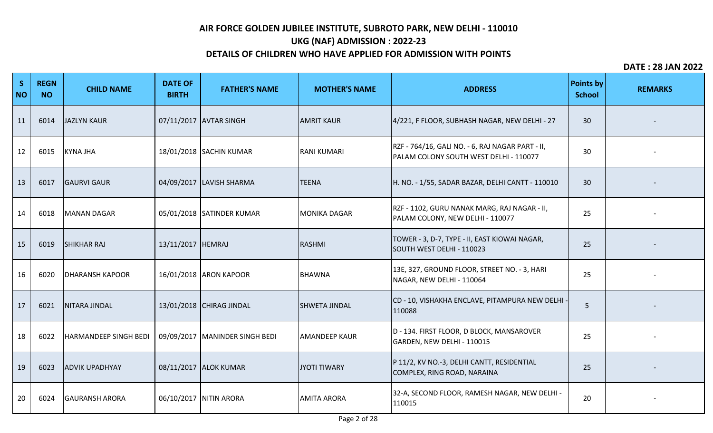# **UKG (NAF) ADMISSION : 2022-23**

## **DETAILS OF CHILDREN WHO HAVE APPLIED FOR ADMISSION WITH POINTS**

| S<br><b>NO</b> | <b>REGN</b><br><b>NO</b> | <b>CHILD NAME</b>      | <b>DATE OF</b><br><b>BIRTH</b> | <b>FATHER'S NAME</b>             | <b>MOTHER'S NAME</b> | <b>ADDRESS</b>                                                                             | <b>Points by</b><br><b>School</b> | <b>REMARKS</b> |
|----------------|--------------------------|------------------------|--------------------------------|----------------------------------|----------------------|--------------------------------------------------------------------------------------------|-----------------------------------|----------------|
| 11             | 6014                     | <b>JAZLYN KAUR</b>     |                                | 07/11/2017 AVTAR SINGH           | <b>AMRIT KAUR</b>    | 4/221, F FLOOR, SUBHASH NAGAR, NEW DELHI - 27                                              | 30                                |                |
| 12             | 6015                     | <b>KYNA JHA</b>        |                                | 18/01/2018 SACHIN KUMAR          | <b>RANI KUMARI</b>   | RZF - 764/16, GALI NO. - 6, RAJ NAGAR PART - II,<br>PALAM COLONY SOUTH WEST DELHI - 110077 | 30                                |                |
| 13             | 6017                     | <b>GAURVI GAUR</b>     |                                | 04/09/2017 LAVISH SHARMA         | <b>TEENA</b>         | H. NO. - 1/55, SADAR BAZAR, DELHI CANTT - 110010                                           | 30                                |                |
| 14             | 6018                     | <b>MANAN DAGAR</b>     |                                | 05/01/2018 SATINDER KUMAR        | <b>MONIKA DAGAR</b>  | RZF - 1102, GURU NANAK MARG, RAJ NAGAR - II,<br>PALAM COLONY, NEW DELHI - 110077           | 25                                |                |
| 15             | 6019                     | <b>SHIKHAR RAJ</b>     | 13/11/2017  HEMRAJ             |                                  | RASHMI               | TOWER - 3, D-7, TYPE - II, EAST KIOWAI NAGAR,<br>SOUTH WEST DELHI - 110023                 | 25                                |                |
| 16             | 6020                     | <b>DHARANSH KAPOOR</b> |                                | 16/01/2018 ARON KAPOOR           | <b>BHAWNA</b>        | 13E, 327, GROUND FLOOR, STREET NO. - 3, HARI<br>NAGAR, NEW DELHI - 110064                  | 25                                |                |
| 17             | 6021                     | <b>NITARA JINDAL</b>   |                                | 13/01/2018 CHIRAG JINDAL         | <b>SHWETA JINDAL</b> | CD - 10, VISHAKHA ENCLAVE, PITAMPURA NEW DELHI<br>110088                                   | 5                                 |                |
| 18             | 6022                     | HARMANDEEP SINGH BEDI  |                                | 09/09/2017   MANINDER SINGH BEDI | <b>AMANDEEP KAUR</b> | D - 134. FIRST FLOOR, D BLOCK, MANSAROVER<br>GARDEN, NEW DELHI - 110015                    | 25                                |                |
| 19             | 6023                     | <b>ADVIK UPADHYAY</b>  |                                | 08/11/2017 ALOK KUMAR            | JYOTI TIWARY         | P 11/2, KV NO.-3, DELHI CANTT, RESIDENTIAL<br>COMPLEX, RING ROAD, NARAINA                  | 25                                |                |
| 20             | 6024                     | <b>GAURANSH ARORA</b>  |                                | 06/10/2017 NITIN ARORA           | <b>AMITA ARORA</b>   | 32-A, SECOND FLOOR, RAMESH NAGAR, NEW DELHI -<br>110015                                    | 20                                |                |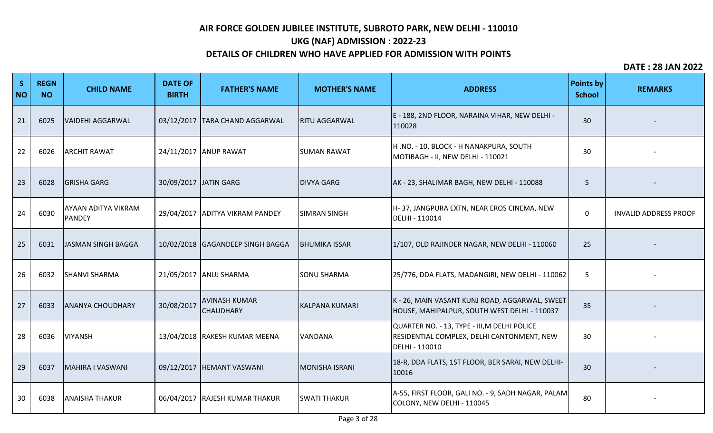# **UKG (NAF) ADMISSION : 2022-23**

## **DETAILS OF CHILDREN WHO HAVE APPLIED FOR ADMISSION WITH POINTS**

| S<br><b>NO</b> | <b>REGN</b><br><b>NO</b> | <b>CHILD NAME</b>                    | <b>DATE OF</b><br><b>BIRTH</b> | <b>FATHER'S NAME</b>                     | <b>MOTHER'S NAME</b>  | <b>ADDRESS</b>                                                                                               | <b>Points by</b><br><b>School</b> | <b>REMARKS</b>               |
|----------------|--------------------------|--------------------------------------|--------------------------------|------------------------------------------|-----------------------|--------------------------------------------------------------------------------------------------------------|-----------------------------------|------------------------------|
| 21             | 6025                     | <b>VAIDEHI AGGARWAL</b>              |                                | 03/12/2017 TARA CHAND AGGARWAL           | <b>RITU AGGARWAL</b>  | E - 188, 2ND FLOOR, NARAINA VIHAR, NEW DELHI -<br>110028                                                     | 30                                |                              |
| 22             | 6026                     | <b>ARCHIT RAWAT</b>                  |                                | 24/11/2017 ANUP RAWAT                    | <b>SUMAN RAWAT</b>    | H .NO. - 10, BLOCK - H NANAKPURA, SOUTH<br>MOTIBAGH - II, NEW DELHI - 110021                                 | 30                                |                              |
| 23             | 6028                     | <b>GRISHA GARG</b>                   |                                | 30/09/2017 JATIN GARG                    | <b>DIVYA GARG</b>     | AK - 23, SHALIMAR BAGH, NEW DELHI - 110088                                                                   | 5                                 |                              |
| 24             | 6030                     | AYAAN ADITYA VIKRAM<br><b>PANDEY</b> |                                | 29/04/2017 ADITYA VIKRAM PANDEY          | <b>SIMRAN SINGH</b>   | H-37, JANGPURA EXTN, NEAR EROS CINEMA, NEW<br>DELHI - 110014                                                 | 0                                 | <b>INVALID ADDRESS PROOF</b> |
| 25             | 6031                     | JASMAN SINGH BAGGA                   |                                | 10/02/2018 GAGANDEEP SINGH BAGGA         | <b>BHUMIKA ISSAR</b>  | 1/107, OLD RAJINDER NAGAR, NEW DELHI - 110060                                                                | 25                                |                              |
| 26             | 6032                     | <b>SHANVI SHARMA</b>                 |                                | 21/05/2017 ANUJ SHARMA                   | <b>SONU SHARMA</b>    | 25/776, DDA FLATS, MADANGIRI, NEW DELHI - 110062                                                             | 5                                 |                              |
| 27             | 6033                     | <b>ANANYA CHOUDHARY</b>              | 30/08/2017                     | <b>AVINASH KUMAR</b><br><b>CHAUDHARY</b> | <b>KALPANA KUMARI</b> | K - 26, MAIN VASANT KUNJ ROAD, AGGARWAL, SWEET<br>HOUSE, MAHIPALPUR, SOUTH WEST DELHI - 110037               | 35                                |                              |
| 28             | 6036                     | <b>VIYANSH</b>                       |                                | 13/04/2018 RAKESH KUMAR MEENA            | <b>VANDANA</b>        | QUARTER NO. - 13, TYPE - III, M DELHI POLICE<br>RESIDENTIAL COMPLEX, DELHI CANTONMENT, NEW<br>DELHI - 110010 | 30                                |                              |
| 29             | 6037                     | MAHIRA I VASWANI                     |                                | 09/12/2017  HEMANT VASWANI               | MONISHA ISRANI        | 18-R, DDA FLATS, 1ST FLOOR, BER SARAI, NEW DELHI-<br>10016                                                   | 30                                |                              |
| 30             | 6038                     | <b>ANAISHA THAKUR</b>                |                                | 06/04/2017 RAJESH KUMAR THAKUR           | <b>SWATI THAKUR</b>   | A-55, FIRST FLOOR, GALI NO. - 9, SADH NAGAR, PALAM<br>COLONY, NEW DELHI - 110045                             | 80                                |                              |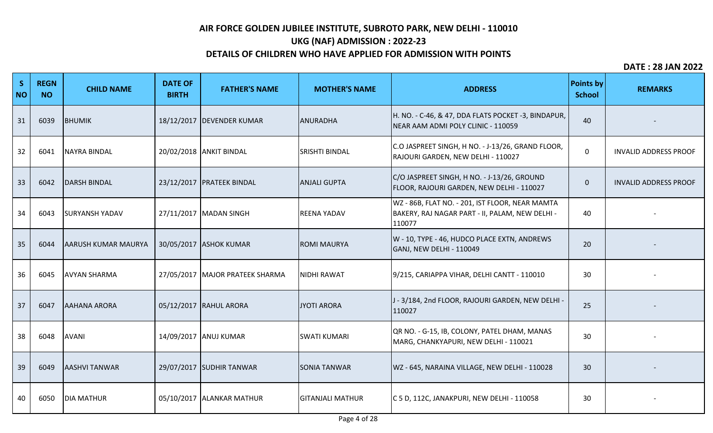# **UKG (NAF) ADMISSION : 2022-23**

## **DETAILS OF CHILDREN WHO HAVE APPLIED FOR ADMISSION WITH POINTS**

| S<br><b>NO</b> | <b>REGN</b><br><b>NO</b> | <b>CHILD NAME</b>          | <b>DATE OF</b><br><b>BIRTH</b> | <b>FATHER'S NAME</b>            | <b>MOTHER'S NAME</b>    | <b>ADDRESS</b>                                                                                               | <b>Points by</b><br><b>School</b> | <b>REMARKS</b>               |
|----------------|--------------------------|----------------------------|--------------------------------|---------------------------------|-------------------------|--------------------------------------------------------------------------------------------------------------|-----------------------------------|------------------------------|
| 31             | 6039                     | BHUMIK                     |                                | 18/12/2017   DEVENDER KUMAR     | ANURADHA                | H. NO. - C-46, & 47, DDA FLATS POCKET -3, BINDAPUR,<br>NEAR AAM ADMI POLY CLINIC - 110059                    | 40                                |                              |
| 32             | 6041                     | <b>NAYRA BINDAL</b>        |                                | 20/02/2018 ANKIT BINDAL         | <b>SRISHTI BINDAL</b>   | C.O JASPREET SINGH, H NO. - J-13/26, GRAND FLOOR,<br>RAJOURI GARDEN, NEW DELHI - 110027                      | 0                                 | <b>INVALID ADDRESS PROOF</b> |
| 33             | 6042                     | <b>DARSH BINDAL</b>        |                                | 23/12/2017 PRATEEK BINDAL       | <b>ANJALI GUPTA</b>     | C/O JASPREET SINGH, H NO. - J-13/26, GROUND<br>FLOOR, RAJOURI GARDEN, NEW DELHI - 110027                     | $\mathbf{0}$                      | <b>INVALID ADDRESS PROOF</b> |
| 34             | 6043                     | <b>SURYANSH YADAV</b>      |                                | 27/11/2017 MADAN SINGH          | <b>REENA YADAV</b>      | WZ - 86B, FLAT NO. - 201, IST FLOOR, NEAR MAMTA<br>BAKERY, RAJ NAGAR PART - II, PALAM, NEW DELHI -<br>110077 | 40                                |                              |
| 35             | 6044                     | <b>AARUSH KUMAR MAURYA</b> |                                | 30/05/2017 ASHOK KUMAR          | <b>ROMI MAURYA</b>      | W - 10, TYPE - 46, HUDCO PLACE EXTN, ANDREWS<br>GANJ, NEW DELHI - 110049                                     | 20                                |                              |
| 36             | 6045                     | <b>AVYAN SHARMA</b>        |                                | 27/05/2017 MAJOR PRATEEK SHARMA | <b>NIDHI RAWAT</b>      | 9/215, CARIAPPA VIHAR, DELHI CANTT - 110010                                                                  | 30                                |                              |
| 37             | 6047                     | <b>AAHANA ARORA</b>        |                                | 05/12/2017 RAHUL ARORA          | JYOTI ARORA             | J-3/184, 2nd FLOOR, RAJOURI GARDEN, NEW DELHI-<br>110027                                                     | 25                                |                              |
| 38             | 6048                     | <b>AVANI</b>               |                                | 14/09/2017 ANUJ KUMAR           | <b>SWATI KUMARI</b>     | QR NO. - G-15, IB, COLONY, PATEL DHAM, MANAS<br>MARG, CHANKYAPURI, NEW DELHI - 110021                        | 30                                |                              |
| 39             | 6049                     | <b>AASHVI TANWAR</b>       |                                | 29/07/2017 SUDHIR TANWAR        | <b>SONIA TANWAR</b>     | WZ - 645, NARAINA VILLAGE, NEW DELHI - 110028                                                                | 30                                |                              |
| 40             | 6050                     | <b>DIA MATHUR</b>          |                                | 05/10/2017 ALANKAR MATHUR       | <b>GITANJALI MATHUR</b> | C 5 D, 112C, JANAKPURI, NEW DELHI - 110058                                                                   | 30                                |                              |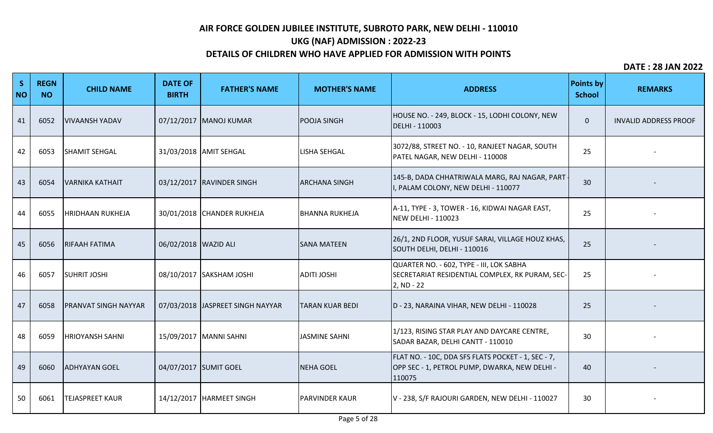# **UKG (NAF) ADMISSION : 2022-23**

## **DETAILS OF CHILDREN WHO HAVE APPLIED FOR ADMISSION WITH POINTS**

| S<br><b>NO</b> | <b>REGN</b><br><b>NO</b> | <b>CHILD NAME</b>            | <b>DATE OF</b><br><b>BIRTH</b> | <b>FATHER'S NAME</b>              | <b>MOTHER'S NAME</b>   | <b>ADDRESS</b>                                                                                                | <b>Points by</b><br><b>School</b> | <b>REMARKS</b>               |
|----------------|--------------------------|------------------------------|--------------------------------|-----------------------------------|------------------------|---------------------------------------------------------------------------------------------------------------|-----------------------------------|------------------------------|
| 41             | 6052                     | VIVAANSH YADAV               |                                | 07/12/2017 MANOJ KUMAR            | <b>POOJA SINGH</b>     | HOUSE NO. - 249, BLOCK - 15, LODHI COLONY, NEW<br>DELHI - 110003                                              | $\mathbf 0$                       | <b>INVALID ADDRESS PROOF</b> |
| 42             | 6053                     | <b>SHAMIT SEHGAL</b>         |                                | 31/03/2018 AMIT SEHGAL            | <b>LISHA SEHGAL</b>    | 3072/88, STREET NO. - 10, RANJEET NAGAR, SOUTH<br>PATEL NAGAR, NEW DELHI - 110008                             | 25                                |                              |
| 43             | 6054                     | VARNIKA KATHAIT              |                                | 03/12/2017 RAVINDER SINGH         | <b>ARCHANA SINGH</b>   | 145-B, DADA CHHATRIWALA MARG, RAJ NAGAR, PART<br>, PALAM COLONY, NEW DELHI - 110077                           | 30                                |                              |
| 44             | 6055                     | <b>HRIDHAAN RUKHEJA</b>      |                                | 30/01/2018 CHANDER RUKHEJA        | <b>BHANNA RUKHEJA</b>  | A-11, TYPE - 3, TOWER - 16, KIDWAI NAGAR EAST,<br><b>NEW DELHI - 110023</b>                                   | 25                                |                              |
| 45             | 6056                     | <b>RIFAAH FATIMA</b>         | 06/02/2018   WAZID ALI         |                                   | <b>SANA MATEEN</b>     | 26/1, 2ND FLOOR, YUSUF SARAI, VILLAGE HOUZ KHAS,<br>SOUTH DELHI, DELHI - 110016                               | 25                                |                              |
| 46             | 6057                     | <b>SUHRIT JOSHI</b>          |                                | 08/10/2017 SAKSHAM JOSHI          | <b>ADITI JOSHI</b>     | QUARTER NO. - 602, TYPE - III, LOK SABHA<br>SECRETARIAT RESIDENTIAL COMPLEX, RK PURAM, SEC-<br>2, ND - 22     | 25                                |                              |
| 47             | 6058                     | <b>IPRANVAT SINGH NAYYAR</b> |                                | 07/03/2018 JJASPREET SINGH NAYYAR | <b>TARAN KUAR BEDI</b> | D - 23, NARAINA VIHAR, NEW DELHI - 110028                                                                     | 25                                |                              |
| 48             | 6059                     | <b>HRIOYANSH SAHNI</b>       |                                | 15/09/2017   MANNI SAHNI          | JASMINE SAHNI          | 1/123, RISING STAR PLAY AND DAYCARE CENTRE,<br>SADAR BAZAR, DELHI CANTT - 110010                              | 30                                |                              |
| 49             | 6060                     | <b>ADHYAYAN GOEL</b>         |                                | 04/07/2017 SUMIT GOEL             | <b>NEHA GOEL</b>       | FLAT NO. - 10C, DDA SFS FLATS POCKET - 1, SEC - 7,<br>OPP SEC - 1, PETROL PUMP, DWARKA, NEW DELHI -<br>110075 | 40                                |                              |
| 50             | 6061                     | <b>TEJASPREET KAUR</b>       |                                | 14/12/2017   HARMEET SINGH        | <b>PARVINDER KAUR</b>  | V - 238, S/F RAJOURI GARDEN, NEW DELHI - 110027                                                               | 30                                |                              |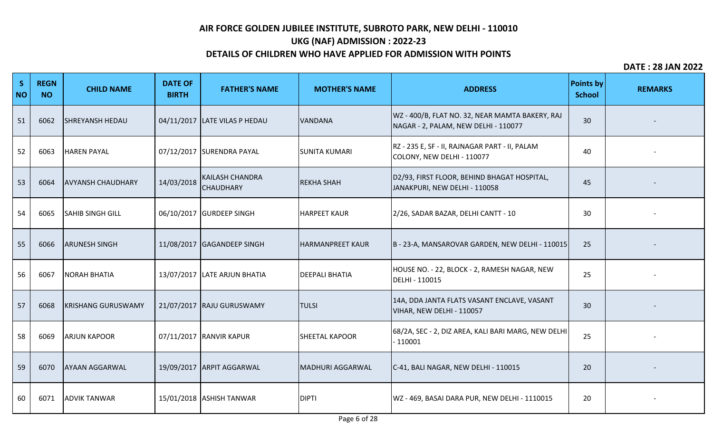# **UKG (NAF) ADMISSION : 2022-23**

## **DETAILS OF CHILDREN WHO HAVE APPLIED FOR ADMISSION WITH POINTS**

| S<br><b>NO</b> | <b>REGN</b><br><b>NO</b> | <b>CHILD NAME</b>         | <b>DATE OF</b><br><b>BIRTH</b> | <b>FATHER'S NAME</b>                       | <b>MOTHER'S NAME</b>    | <b>ADDRESS</b>                                                                          | <b>Points by</b><br><b>School</b> | <b>REMARKS</b> |
|----------------|--------------------------|---------------------------|--------------------------------|--------------------------------------------|-------------------------|-----------------------------------------------------------------------------------------|-----------------------------------|----------------|
| 51             | 6062                     | <b>SHREYANSH HEDAU</b>    |                                | 04/11/2017 LATE VILAS P HEDAU              | <b>VANDANA</b>          | WZ - 400/B, FLAT NO. 32, NEAR MAMTA BAKERY, RAJ<br>NAGAR - 2, PALAM, NEW DELHI - 110077 | 30                                |                |
| 52             | 6063                     | <b>HAREN PAYAL</b>        |                                | 07/12/2017 SURENDRA PAYAL                  | <b>SUNITA KUMARI</b>    | RZ - 235 E, SF - II, RAJNAGAR PART - II, PALAM<br>COLONY, NEW DELHI - 110077            | 40                                |                |
| 53             | 6064                     | <b>AVYANSH CHAUDHARY</b>  | 14/03/2018                     | <b>KAILASH CHANDRA</b><br><b>CHAUDHARY</b> | <b>REKHA SHAH</b>       | D2/93, FIRST FLOOR, BEHIND BHAGAT HOSPITAL,<br>JANAKPURI, NEW DELHI - 110058            | 45                                |                |
| 54             | 6065                     | <b>SAHIB SINGH GILL</b>   |                                | 06/10/2017 GURDEEP SINGH                   | <b>HARPEET KAUR</b>     | 2/26, SADAR BAZAR, DELHI CANTT - 10                                                     | 30                                |                |
| 55             | 6066                     | <b>ARUNESH SINGH</b>      |                                | 11/08/2017 GAGANDEEP SINGH                 | <b>HARMANPREET KAUR</b> | B - 23-A, MANSAROVAR GARDEN, NEW DELHI - 110015                                         | 25                                |                |
| 56             | 6067                     | <b>NORAH BHATIA</b>       |                                | 13/07/2017 LATE ARJUN BHATIA               | <b>DEEPALI BHATIA</b>   | HOUSE NO. - 22, BLOCK - 2, RAMESH NAGAR, NEW<br>DELHI - 110015                          | 25                                |                |
| 57             | 6068                     | <b>KRISHANG GURUSWAMY</b> |                                | 21/07/2017 RAJU GURUSWAMY                  | <b>TULSI</b>            | 14A, DDA JANTA FLATS VASANT ENCLAVE, VASANT<br>VIHAR, NEW DELHI - 110057                | 30                                |                |
| 58             | 6069                     | <b>ARJUN KAPOOR</b>       |                                | 07/11/2017 RANVIR KAPUR                    | <b>SHEETAL KAPOOR</b>   | 68/2A, SEC - 2, DIZ AREA, KALI BARI MARG, NEW DELHI<br>$-110001$                        | 25                                |                |
| 59             | 6070                     | <b>AYAAN AGGARWAL</b>     |                                | 19/09/2017 ARPIT AGGARWAL                  | <b>MADHURI AGGARWAL</b> | C-41, BALI NAGAR, NEW DELHI - 110015                                                    | 20                                |                |
| 60             | 6071                     | <b>ADVIK TANWAR</b>       |                                | 15/01/2018 ASHISH TANWAR                   | <b>DIPTI</b>            | WZ - 469, BASAI DARA PUR, NEW DELHI - 1110015                                           | 20                                |                |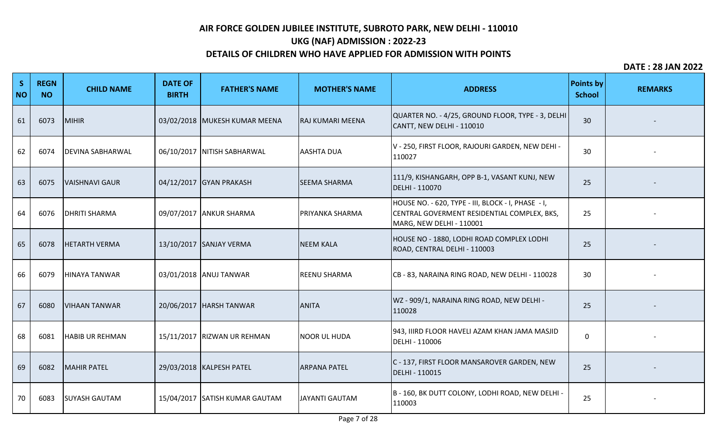# **UKG (NAF) ADMISSION : 2022-23**

## **DETAILS OF CHILDREN WHO HAVE APPLIED FOR ADMISSION WITH POINTS**

| S<br><b>NO</b> | <b>REGN</b><br><b>NO</b> | <b>CHILD NAME</b>       | <b>DATE OF</b><br><b>BIRTH</b> | <b>FATHER'S NAME</b>           | <b>MOTHER'S NAME</b>    | <b>ADDRESS</b>                                                                                                                | <b>Points by</b><br><b>School</b> | <b>REMARKS</b> |
|----------------|--------------------------|-------------------------|--------------------------------|--------------------------------|-------------------------|-------------------------------------------------------------------------------------------------------------------------------|-----------------------------------|----------------|
| 61             | 6073                     | MIHIR                   |                                | 03/02/2018 MUKESH KUMAR MEENA  | <b>RAJ KUMARI MEENA</b> | QUARTER NO. - 4/25, GROUND FLOOR, TYPE - 3, DELHI<br>CANTT, NEW DELHI - 110010                                                | 30                                |                |
| 62             | 6074                     | <b>DEVINA SABHARWAL</b> |                                | 06/10/2017 NITISH SABHARWAL    | <b>AASHTA DUA</b>       | V - 250, FIRST FLOOR, RAJOURI GARDEN, NEW DEHI -<br>110027                                                                    | 30                                |                |
| 63             | 6075                     | <b>VAISHNAVI GAUR</b>   |                                | 04/12/2017 GYAN PRAKASH        | <b>SEEMA SHARMA</b>     | 111/9, KISHANGARH, OPP B-1, VASANT KUNJ, NEW<br>DELHI - 110070                                                                | 25                                |                |
| 64             | 6076                     | <b>DHRITI SHARMA</b>    |                                | 09/07/2017 ANKUR SHARMA        | <b>PRIYANKA SHARMA</b>  | HOUSE NO. - 620, TYPE - III, BLOCK - I, PHASE - I,<br>CENTRAL GOVERMENT RESIDENTIAL COMPLEX, BKS,<br>MARG, NEW DELHI - 110001 | 25                                |                |
| 65             | 6078                     | <b>HETARTH VERMA</b>    |                                | 13/10/2017 SANJAY VERMA        | <b>NEEM KALA</b>        | HOUSE NO - 1880, LODHI ROAD COMPLEX LODHI<br>ROAD, CENTRAL DELHI - 110003                                                     | 25                                |                |
| 66             | 6079                     | HINAYA TANWAR           |                                | 03/01/2018 ANUJ TANWAR         | <b>REENU SHARMA</b>     | CB-83, NARAINA RING ROAD, NEW DELHI-110028                                                                                    | 30                                |                |
| 67             | 6080                     | <b>VIHAAN TANWAR</b>    |                                | 20/06/2017   HARSH TANWAR      | <b>ANITA</b>            | WZ - 909/1, NARAINA RING ROAD, NEW DELHI -<br>110028                                                                          | 25                                |                |
| 68             | 6081                     | <b>HABIB UR REHMAN</b>  |                                | 15/11/2017 RIZWAN UR REHMAN    | <b>NOOR UL HUDA</b>     | 943, IIIRD FLOOR HAVELI AZAM KHAN JAMA MASJID<br>DELHI - 110006                                                               | 0                                 |                |
| 69             | 6082                     | <b>MAHIR PATEL</b>      |                                | 29/03/2018   KALPESH PATEL     | <b>ARPANA PATEL</b>     | C - 137, FIRST FLOOR MANSAROVER GARDEN, NEW<br>DELHI - 110015                                                                 | 25                                |                |
| 70             | 6083                     | <b>SUYASH GAUTAM</b>    |                                | 15/04/2017 SATISH KUMAR GAUTAM | <b>JJAYANTI GAUTAM</b>  | B - 160, BK DUTT COLONY, LODHI ROAD, NEW DELHI -<br>110003                                                                    | 25                                |                |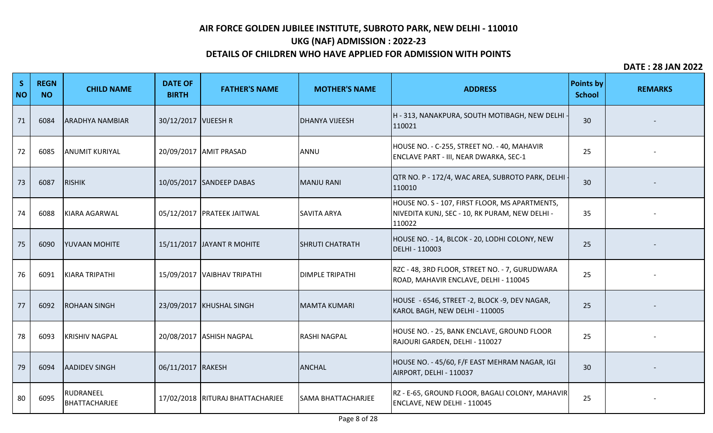# **UKG (NAF) ADMISSION : 2022-23**

## **DETAILS OF CHILDREN WHO HAVE APPLIED FOR ADMISSION WITH POINTS**

| S<br><b>NO</b> | <b>REGN</b><br><b>NO</b> | <b>CHILD NAME</b>          | <b>DATE OF</b><br><b>BIRTH</b> | <b>FATHER'S NAME</b>               | <b>MOTHER'S NAME</b>      | <b>ADDRESS</b>                                                                                             | <b>Points by</b><br><b>School</b> | <b>REMARKS</b> |
|----------------|--------------------------|----------------------------|--------------------------------|------------------------------------|---------------------------|------------------------------------------------------------------------------------------------------------|-----------------------------------|----------------|
| 71             | 6084                     | <b>ARADHYA NAMBIAR</b>     | 30/12/2017 VIJEESH R           |                                    | <b>DHANYA VIJEESH</b>     | H - 313, NANAKPURA, SOUTH MOTIBAGH, NEW DELHI<br>110021                                                    | 30                                |                |
| 72             | 6085                     | <b>ANUMIT KURIYAL</b>      |                                | 20/09/2017   AMIT PRASAD           | ANNU                      | HOUSE NO. - C-255, STREET NO. - 40, MAHAVIR<br>ENCLAVE PART - III, NEAR DWARKA, SEC-1                      | 25                                |                |
| 73             | 6087                     | <b>RISHIK</b>              |                                | 10/05/2017 SANDEEP DABAS           | <b>MANJU RANI</b>         | QTR NO. P - 172/4, WAC AREA, SUBROTO PARK, DELHI<br>110010                                                 | 30                                |                |
| 74             | 6088                     | KIARA AGARWAL              |                                | 05/12/2017   PRATEEK JAITWAL       | <b>SAVITA ARYA</b>        | HOUSE NO. S - 107, FIRST FLOOR, MS APARTMENTS,<br>NIVEDITA KUNJ, SEC - 10, RK PURAM, NEW DELHI -<br>110022 | 35                                |                |
| 75             | 6090                     | <b>YUVAAN MOHITE</b>       |                                | 15/11/2017 JAYANT R MOHITE         | <b>SHRUTI CHATRATH</b>    | HOUSE NO. - 14, BLCOK - 20, LODHI COLONY, NEW<br>DELHI - 110003                                            | 25                                |                |
| 76             | 6091                     | KIARA TRIPATHI             |                                | 15/09/2017 VAIBHAV TRIPATHI        | <b>DIMPLE TRIPATHI</b>    | RZC - 48, 3RD FLOOR, STREET NO. - 7, GURUDWARA<br>ROAD, MAHAVIR ENCLAVE, DELHI - 110045                    | 25                                |                |
| 77             | 6092                     | <b>ROHAAN SINGH</b>        |                                | 23/09/2017 KHUSHAL SINGH           | MAMTA KUMARI              | HOUSE - 6546, STREET -2, BLOCK -9, DEV NAGAR,<br>KAROL BAGH, NEW DELHI - 110005                            | 25                                |                |
| 78             | 6093                     | <b>KRISHIV NAGPAL</b>      |                                | 20/08/2017 ASHISH NAGPAL           | <b>RASHI NAGPAL</b>       | HOUSE NO. - 25, BANK ENCLAVE, GROUND FLOOR<br>RAJOURI GARDEN, DELHI - 110027                               | 25                                |                |
| 79             | 6094                     | <b>AADIDEV SINGH</b>       | 06/11/2017 RAKESH              |                                    | <b>ANCHAL</b>             | HOUSE NO. - 45/60, F/F EAST MEHRAM NAGAR, IGI<br>AIRPORT, DELHI - 110037                                   | 30                                |                |
| 80             | 6095                     | RUDRANEEL<br>BHATTACHARJEE |                                | 17/02/2018   RITURAJ BHATTACHARJEE | <b>SAMA BHATTACHARJEE</b> | RZ - E-65, GROUND FLOOR, BAGALI COLONY, MAHAVIR<br>ENCLAVE, NEW DELHI - 110045                             | 25                                |                |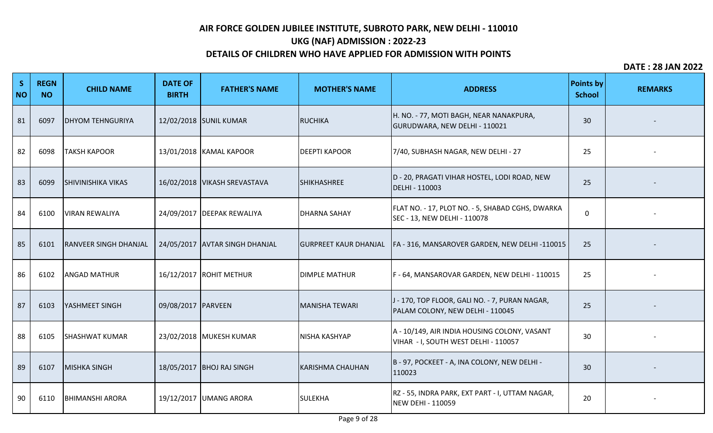# **UKG (NAF) ADMISSION : 2022-23**

## **DETAILS OF CHILDREN WHO HAVE APPLIED FOR ADMISSION WITH POINTS**

| S<br><b>NO</b> | <b>REGN</b><br><b>NO</b> | <b>CHILD NAME</b>            | <b>DATE OF</b><br><b>BIRTH</b> | <b>FATHER'S NAME</b>           | <b>MOTHER'S NAME</b>         | <b>ADDRESS</b>                                                                       | <b>Points by</b><br><b>School</b> | <b>REMARKS</b> |
|----------------|--------------------------|------------------------------|--------------------------------|--------------------------------|------------------------------|--------------------------------------------------------------------------------------|-----------------------------------|----------------|
| 81             | 6097                     | <b>DHYOM TEHNGURIYA</b>      |                                | 12/02/2018 SUNIL KUMAR         | <b>RUCHIKA</b>               | H. NO. - 77, MOTI BAGH, NEAR NANAKPURA,<br>GURUDWARA, NEW DELHI - 110021             | 30                                |                |
| 82             | 6098                     | <b>TAKSH KAPOOR</b>          |                                | 13/01/2018 KAMAL KAPOOR        | <b>DEEPTI KAPOOR</b>         | 7/40, SUBHASH NAGAR, NEW DELHI - 27                                                  | 25                                |                |
| 83             | 6099                     | <b>SHIVINISHIKA VIKAS</b>    |                                | 16/02/2018   VIKASH SREVASTAVA | <b>SHIKHASHREE</b>           | D - 20, PRAGATI VIHAR HOSTEL, LODI ROAD, NEW<br>DELHI - 110003                       | 25                                |                |
| 84             | 6100                     | <b>VIRAN REWALIYA</b>        |                                | 24/09/2017   DEEPAK REWALIYA   | <b>DHARNA SAHAY</b>          | FLAT NO. - 17, PLOT NO. - 5, SHABAD CGHS, DWARKA<br>SEC - 13, NEW DELHI - 110078     | $\mathbf 0$                       |                |
| 85             | 6101                     | <b>RANVEER SINGH DHANJAL</b> |                                | 24/05/2017 AVTAR SINGH DHANJAL | <b>GURPREET KAUR DHANJAL</b> | FA - 316, MANSAROVER GARDEN, NEW DELHI -110015                                       | 25                                |                |
| 86             | 6102                     | <b>ANGAD MATHUR</b>          |                                | 16/12/2017 ROHIT METHUR        | <b>DIMPLE MATHUR</b>         | F-64, MANSAROVAR GARDEN, NEW DELHI - 110015                                          | 25                                |                |
| 87             | 6103                     | <b>YASHMEET SINGH</b>        | 09/08/2017 PARVEEN             |                                | <b>MANISHA TEWARI</b>        | J - 170, TOP FLOOR, GALI NO. - 7, PURAN NAGAR,<br>PALAM COLONY, NEW DELHI - 110045   | 25                                |                |
| 88             | 6105                     | <b>SHASHWAT KUMAR</b>        |                                | 23/02/2018 MUKESH KUMAR        | <b>NISHA KASHYAP</b>         | A - 10/149, AIR INDIA HOUSING COLONY, VASANT<br>VIHAR - I, SOUTH WEST DELHI - 110057 | 30                                |                |
| 89             | 6107                     | MISHKA SINGH                 |                                | 18/05/2017 BHOJ RAJ SINGH      | <b>KARISHMA CHAUHAN</b>      | B - 97, POCKEET - A, INA COLONY, NEW DELHI -<br>110023                               | 30                                |                |
| 90             | 6110                     | <b>BHIMANSHI ARORA</b>       |                                | 19/12/2017 UMANG ARORA         | <b>SULEKHA</b>               | RZ - 55, INDRA PARK, EXT PART - I, UTTAM NAGAR,<br>NEW DEHI - 110059                 | 20                                |                |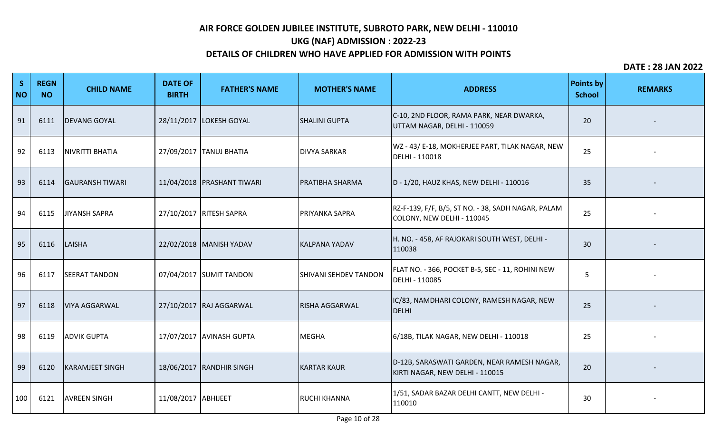# **UKG (NAF) ADMISSION : 2022-23**

### **DETAILS OF CHILDREN WHO HAVE APPLIED FOR ADMISSION WITH POINTS**

| S<br><b>NO</b> | <b>REGN</b><br><b>NO</b> | <b>CHILD NAME</b>      | <b>DATE OF</b><br><b>BIRTH</b> | <b>FATHER'S NAME</b>         | <b>MOTHER'S NAME</b>         | <b>ADDRESS</b>                                                                   | <b>Points by</b><br><b>School</b> | <b>REMARKS</b> |
|----------------|--------------------------|------------------------|--------------------------------|------------------------------|------------------------------|----------------------------------------------------------------------------------|-----------------------------------|----------------|
| 91             | 6111                     | <b>DEVANG GOYAL</b>    |                                | 28/11/2017 LOKESH GOYAL      | <b>SHALINI GUPTA</b>         | C-10, 2ND FLOOR, RAMA PARK, NEAR DWARKA,<br>UTTAM NAGAR, DELHI - 110059          | 20                                |                |
| 92             | 6113                     | NIVRITTI BHATIA        |                                | 27/09/2017 TANUJ BHATIA      | <b>DIVYA SARKAR</b>          | WZ - 43/ E-18, MOKHERJEE PART, TILAK NAGAR, NEW<br>DELHI - 110018                | 25                                |                |
| 93             | 6114                     | <b>GAURANSH TIWARI</b> |                                | 11/04/2018   PRASHANT TIWARI | <b>PRATIBHA SHARMA</b>       | D - 1/20, HAUZ KHAS, NEW DELHI - 110016                                          | 35                                |                |
| 94             | 6115                     | <b>JIYANSH SAPRA</b>   |                                | 27/10/2017 RITESH SAPRA      | <b>PRIYANKA SAPRA</b>        | RZ-F-139, F/F, B/5, ST NO. - 38, SADH NAGAR, PALAM<br>COLONY, NEW DELHI - 110045 | 25                                |                |
| 95             | 6116                     | LAISHA                 |                                | 22/02/2018   MANISH YADAV    | KALPANA YADAV                | H. NO. - 458, AF RAJOKARI SOUTH WEST, DELHI -<br>110038                          | 30                                |                |
| 96             | 6117                     | <b>SEERAT TANDON</b>   |                                | 07/04/2017 SUMIT TANDON      | <b>SHIVANI SEHDEV TANDON</b> | FLAT NO. - 366, POCKET B-5, SEC - 11, ROHINI NEW<br>DELHI - 110085               | 5                                 |                |
| 97             | 6118                     | <b>VIYA AGGARWAL</b>   |                                | 27/10/2017 RAJ AGGARWAL      | <b>RISHA AGGARWAL</b>        | IC/83, NAMDHARI COLONY, RAMESH NAGAR, NEW<br>DELHI                               | 25                                |                |
| 98             | 6119                     | <b>ADVIK GUPTA</b>     |                                | 17/07/2017 AVINASH GUPTA     | MEGHA                        | 6/18B, TILAK NAGAR, NEW DELHI - 110018                                           | 25                                |                |
| 99             | 6120                     | <b>KARAMJEET SINGH</b> |                                | 18/06/2017 RANDHIR SINGH     | <b>KARTAR KAUR</b>           | D-12B, SARASWATI GARDEN, NEAR RAMESH NAGAR,<br>KIRTI NAGAR, NEW DELHI - 110015   | 20                                |                |
| 100            | 6121                     | <b>AVREEN SINGH</b>    | 11/08/2017 ABHIJEET            |                              | <b>RUCHI KHANNA</b>          | 1/51, SADAR BAZAR DELHI CANTT, NEW DELHI -<br>110010                             | 30                                |                |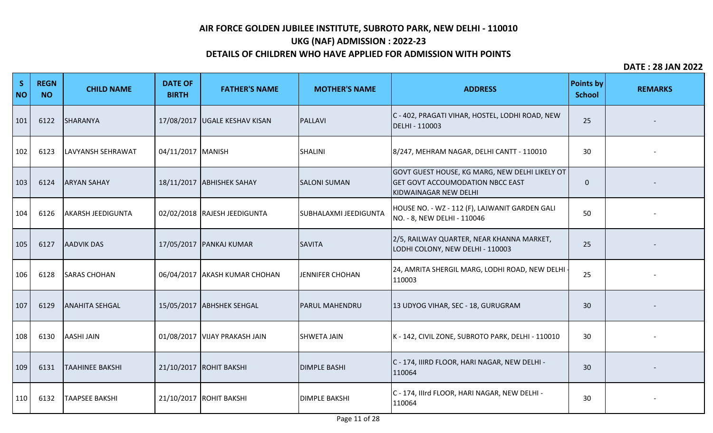# **UKG (NAF) ADMISSION : 2022-23**

## **DETAILS OF CHILDREN WHO HAVE APPLIED FOR ADMISSION WITH POINTS**

| S<br><b>NO</b> | <b>REGN</b><br><b>NO</b> | <b>CHILD NAME</b>        | <b>DATE OF</b><br><b>BIRTH</b> | <b>FATHER'S NAME</b>            | <b>MOTHER'S NAME</b>   | <b>ADDRESS</b>                                                                                                     | <b>Points by</b><br><b>School</b> | <b>REMARKS</b> |
|----------------|--------------------------|--------------------------|--------------------------------|---------------------------------|------------------------|--------------------------------------------------------------------------------------------------------------------|-----------------------------------|----------------|
| 101            | 6122                     | SHARANYA                 |                                | 17/08/2017   UGALE KESHAV KISAN | PALLAVI                | C - 402, PRAGATI VIHAR, HOSTEL, LODHI ROAD, NEW<br>DELHI - 110003                                                  | 25                                |                |
| 102            | 6123                     | LAVYANSH SEHRAWAT        | 04/11/2017 MANISH              |                                 | SHALINI                | 8/247, MEHRAM NAGAR, DELHI CANTT - 110010                                                                          | 30                                |                |
| 103            | 6124                     | <b>ARYAN SAHAY</b>       |                                | 18/11/2017 ABHISHEK SAHAY       | <b>SALONI SUMAN</b>    | GOVT GUEST HOUSE, KG MARG, NEW DELHI LIKELY OT<br><b>GET GOVT ACCOUMODATION NBCC EAST</b><br>KIDWAINAGAR NEW DELHI | $\mathbf{0}$                      |                |
| 104            | 6126                     | <b>AKARSH JEEDIGUNTA</b> |                                | 02/02/2018 RAJESH JEEDIGUNTA    | SUBHALAXMI JEEDIGUNTA  | HOUSE NO. - WZ - 112 (F), LAJWANIT GARDEN GALI<br>NO. - 8, NEW DELHI - 110046                                      | 50                                |                |
| 105            | 6127                     | <b>AADVIK DAS</b>        |                                | 17/05/2017 PANKAJ KUMAR         | SAVITA                 | 2/5, RAILWAY QUARTER, NEAR KHANNA MARKET,<br>LODHI COLONY, NEW DELHI - 110003                                      | 25                                |                |
| 106            | 6128                     | <b>SARAS CHOHAN</b>      |                                | 06/04/2017 AKASH KUMAR CHOHAN   | <b>JENNIFER CHOHAN</b> | 24, AMRITA SHERGIL MARG, LODHI ROAD, NEW DELHI<br>110003                                                           | 25                                |                |
| 107            | 6129                     | <b>ANAHITA SEHGAL</b>    |                                | 15/05/2017 ABHSHEK SEHGAL       | <b>PARUL MAHENDRU</b>  | 13 UDYOG VIHAR, SEC - 18, GURUGRAM                                                                                 | 30                                |                |
| 108            | 6130                     | <b>AASHI JAIN</b>        |                                | 01/08/2017   VIJAY PRAKASH JAIN | <b>SHWETA JAIN</b>     | K - 142, CIVIL ZONE, SUBROTO PARK, DELHI - 110010                                                                  | 30                                |                |
| 109            | 6131                     | <b>TAAHINEE BAKSHI</b>   |                                | 21/10/2017 ROHIT BAKSHI         | <b>DIMPLE BASHI</b>    | C - 174, IIIRD FLOOR, HARI NAGAR, NEW DELHI -<br>110064                                                            | 30                                |                |
| 110            | 6132                     | <b>TAAPSEE BAKSHI</b>    |                                | 21/10/2017 ROHIT BAKSHI         | <b>DIMPLE BAKSHI</b>   | C - 174, Illrd FLOOR, HARI NAGAR, NEW DELHI -<br>110064                                                            | 30                                |                |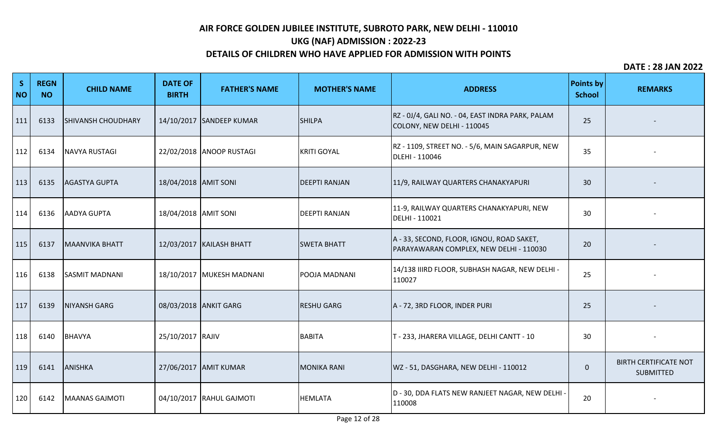# **UKG (NAF) ADMISSION : 2022-23**

## **DETAILS OF CHILDREN WHO HAVE APPLIED FOR ADMISSION WITH POINTS**

| S<br><b>NO</b> | <b>REGN</b><br><b>NO</b> | <b>CHILD NAME</b>         | <b>DATE OF</b><br><b>BIRTH</b> | <b>FATHER'S NAME</b>       | <b>MOTHER'S NAME</b> | <b>ADDRESS</b>                                                                       | <b>Points by</b><br><b>School</b> | <b>REMARKS</b>                                   |
|----------------|--------------------------|---------------------------|--------------------------------|----------------------------|----------------------|--------------------------------------------------------------------------------------|-----------------------------------|--------------------------------------------------|
| 111            | 6133                     | <b>SHIVANSH CHOUDHARY</b> |                                | 14/10/2017 SANDEEP KUMAR   | <b>SHILPA</b>        | RZ - 0J/4, GALI NO. - 04, EAST INDRA PARK, PALAM<br>COLONY, NEW DELHI - 110045       | 25                                |                                                  |
| 112            | 6134                     | <b>NAVYA RUSTAGI</b>      |                                | 22/02/2018 ANOOP RUSTAGI   | <b>KRITI GOYAL</b>   | RZ - 1109, STREET NO. - 5/6, MAIN SAGARPUR, NEW<br>DLEHI - 110046                    | 35                                |                                                  |
| 113            | 6135                     | <b>AGASTYA GUPTA</b>      | 18/04/2018 AMIT SONI           |                            | <b>DEEPTI RANJAN</b> | 11/9, RAILWAY QUARTERS CHANAKYAPURI                                                  | 30                                |                                                  |
| 114            | 6136                     | AADYA GUPTA               | 18/04/2018 AMIT SONI           |                            | <b>DEEPTI RANJAN</b> | 11-9, RAILWAY QUARTERS CHANAKYAPURI, NEW<br>DELHI - 110021                           | 30                                |                                                  |
| 115            | 6137                     | MAANVIKA BHATT            |                                | 12/03/2017   KAILASH BHATT | <b>SWETA BHATT</b>   | A - 33, SECOND, FLOOR, IGNOU, ROAD SAKET,<br>PARAYAWARAN COMPLEX, NEW DELHI - 110030 | 20                                |                                                  |
| 116            | 6138                     | <b>SASMIT MADNANI</b>     |                                | 18/10/2017 MUKESH MADNANI  | <b>POOJA MADNANI</b> | 14/138 IIIRD FLOOR, SUBHASH NAGAR, NEW DELHI -<br>110027                             | 25                                |                                                  |
| 117            | 6139                     | NIYANSH GARG              |                                | 08/03/2018 ANKIT GARG      | <b>RESHU GARG</b>    | A - 72, 3RD FLOOR, INDER PURI                                                        | 25                                |                                                  |
| 118            | 6140                     | BHAVYA                    | 25/10/2017 RAJIV               |                            | <b>BABITA</b>        | T - 233, JHARERA VILLAGE, DELHI CANTT - 10                                           | 30                                |                                                  |
| 119            | 6141                     | ANISHKA                   |                                | 27/06/2017 AMIT KUMAR      | <b>MONIKA RANI</b>   | WZ - 51, DASGHARA, NEW DELHI - 110012                                                | $\pmb{0}$                         | <b>BIRTH CERTIFICATE NOT</b><br><b>SUBMITTED</b> |
| 120            | 6142                     | MAANAS GAJMOTI            |                                | 04/10/2017 RAHUL GAJMOTI   | <b>HEMLATA</b>       | D - 30, DDA FLATS NEW RANJEET NAGAR, NEW DELHI -<br>110008                           | 20                                |                                                  |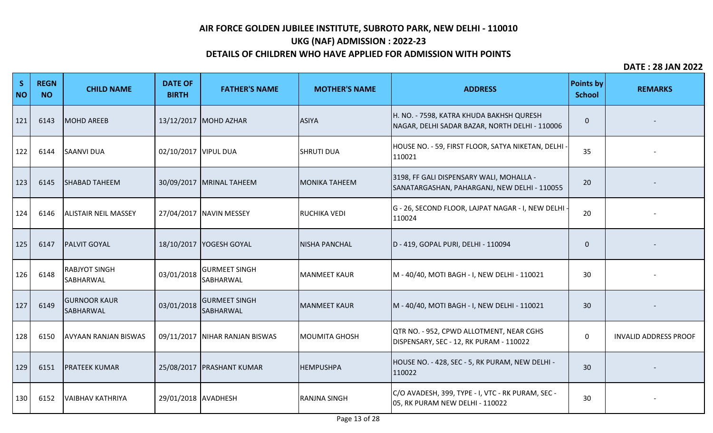# **UKG (NAF) ADMISSION : 2022-23**

## **DETAILS OF CHILDREN WHO HAVE APPLIED FOR ADMISSION WITH POINTS**

| S<br><b>NO</b> | <b>REGN</b><br><b>NO</b> | <b>CHILD NAME</b>                 | <b>DATE OF</b><br><b>BIRTH</b> | <b>FATHER'S NAME</b>              | <b>MOTHER'S NAME</b> | <b>ADDRESS</b>                                                                             | <b>Points by</b><br><b>School</b> | <b>REMARKS</b>               |
|----------------|--------------------------|-----------------------------------|--------------------------------|-----------------------------------|----------------------|--------------------------------------------------------------------------------------------|-----------------------------------|------------------------------|
| 121            | 6143                     | MOHD AREEB                        |                                | 13/12/2017 MOHD AZHAR             | <b>ASIYA</b>         | H. NO. - 7598, KATRA KHUDA BAKHSH QURESH<br>NAGAR, DELHI SADAR BAZAR, NORTH DELHI - 110006 | $\Omega$                          |                              |
| 122            | 6144                     | <b>SAANVI DUA</b>                 | 02/10/2017   VIPUL DUA         |                                   | <b>SHRUTI DUA</b>    | HOUSE NO. - 59, FIRST FLOOR, SATYA NIKETAN, DELHI ·<br>110021                              | 35                                |                              |
| 123            | 6145                     | <b>SHABAD TAHEEM</b>              |                                | 30/09/2017   MRINAL TAHEEM        | <b>MONIKA TAHEEM</b> | 3198, FF GALI DISPENSARY WALI, MOHALLA -<br>SANATARGASHAN, PAHARGANJ, NEW DELHI - 110055   | 20                                |                              |
| 124            | 6146                     | <b>ALISTAIR NEIL MASSEY</b>       |                                | 27/04/2017 NAVIN MESSEY           | <b>RUCHIKA VEDI</b>  | G - 26, SECOND FLOOR, LAJPAT NAGAR - I, NEW DELHI<br>110024                                | 20                                |                              |
| 125            | 6147                     | <b>PALVIT GOYAL</b>               |                                | 18/10/2017   YOGESH GOYAL         | <b>NISHA PANCHAL</b> | D - 419, GOPAL PURI, DELHI - 110094                                                        | $\Omega$                          |                              |
| 126            | 6148                     | <b>RABJYOT SINGH</b><br>SABHARWAL | 03/01/2018                     | <b>GURMEET SINGH</b><br>SABHARWAL | <b>MANMEET KAUR</b>  | M - 40/40, MOTI BAGH - I, NEW DELHI - 110021                                               | 30                                |                              |
| 127            | 6149                     | <b>GURNOOR KAUR</b><br>SABHARWAL  | 03/01/2018                     | <b>GURMEET SINGH</b><br>SABHARWAL | MANMEET KAUR         | M - 40/40, MOTI BAGH - I, NEW DELHI - 110021                                               | 30                                |                              |
| 128            | 6150                     | <b>AVYAAN RANJAN BISWAS</b>       |                                | 09/11/2017 NIHAR RANJAN BISWAS    | MOUMITA GHOSH        | QTR NO. - 952, CPWD ALLOTMENT, NEAR CGHS<br>DISPENSARY, SEC - 12, RK PURAM - 110022        | $\mathbf 0$                       | <b>INVALID ADDRESS PROOF</b> |
| 129            | 6151                     | <b>PRATEEK KUMAR</b>              |                                | 25/08/2017   PRASHANT KUMAR       | <b>HEMPUSHPA</b>     | HOUSE NO. - 428, SEC - 5, RK PURAM, NEW DELHI -<br>110022                                  | 30                                |                              |
| 130            | 6152                     | <b>VAIBHAV KATHRIYA</b>           | 29/01/2018 AVADHESH            |                                   | <b>RANJNA SINGH</b>  | C/O AVADESH, 399, TYPE - I, VTC - RK PURAM, SEC -<br>05, RK PURAM NEW DELHI - 110022       | 30                                |                              |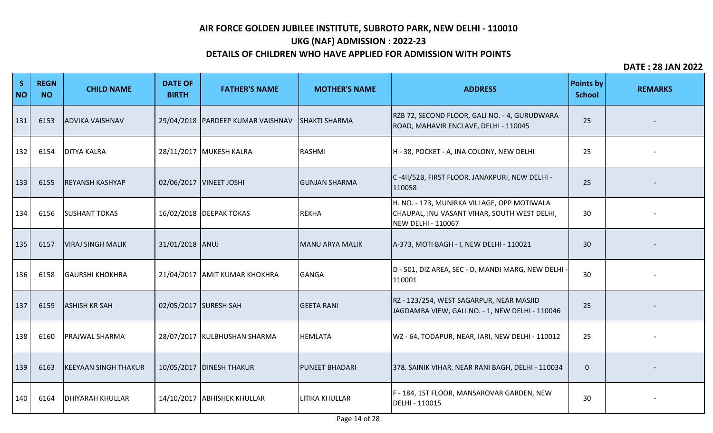# **UKG (NAF) ADMISSION : 2022-23**

## **DETAILS OF CHILDREN WHO HAVE APPLIED FOR ADMISSION WITH POINTS**

| S<br><b>NO</b> | <b>REGN</b><br><b>NO</b> | <b>CHILD NAME</b>           | <b>DATE OF</b><br><b>BIRTH</b> | <b>FATHER'S NAME</b>                | <b>MOTHER'S NAME</b>   | <b>ADDRESS</b>                                                                                                    | <b>Points by</b><br><b>School</b> | <b>REMARKS</b> |
|----------------|--------------------------|-----------------------------|--------------------------------|-------------------------------------|------------------------|-------------------------------------------------------------------------------------------------------------------|-----------------------------------|----------------|
| 131            | 6153                     | <b>ADVIKA VAISHNAV</b>      |                                | 29/04/2018   PARDEEP KUMAR VAISHNAV | <b>SHAKTI SHARMA</b>   | RZB 72, SECOND FLOOR, GALI NO. - 4, GURUDWARA<br>ROAD, MAHAVIR ENCLAVE, DELHI - 110045                            | 25                                |                |
| 132            | 6154                     | <b>DITYA KALRA</b>          |                                | 28/11/2017 MUKESH KALRA             | <b>RASHMI</b>          | H - 38, POCKET - A, INA COLONY, NEW DELHI                                                                         | 25                                |                |
| 133            | 6155                     | <b>REYANSH KASHYAP</b>      |                                | 02/06/2017   VINEET JOSHI           | <b>GUNJAN SHARMA</b>   | C -411/52B, FIRST FLOOR, JANAKPURI, NEW DELHI -<br>110058                                                         | 25                                |                |
| 134            | 6156                     | <b>SUSHANT TOKAS</b>        |                                | 16/02/2018 DEEPAK TOKAS             | <b>REKHA</b>           | H. NO. - 173, MUNIRKA VILLAGE, OPP MOTIWALA<br>CHAUPAL, INU VASANT VIHAR, SOUTH WEST DELHI,<br>NEW DELHI - 110067 | 30                                |                |
| 135            | 6157                     | <b>VIRAJ SINGH MALIK</b>    | 31/01/2018 ANUJ                |                                     | <b>MANU ARYA MALIK</b> | A-373, MOTI BAGH - I, NEW DELHI - 110021                                                                          | 30                                |                |
| 136            | 6158                     | <b>GAURSHI KHOKHRA</b>      |                                | 21/04/2017 AMIT KUMAR KHOKHRA       | <b>GANGA</b>           | D - 501, DIZ AREA, SEC - D, MANDI MARG, NEW DELHI ·<br>110001                                                     | 30                                |                |
| 137            | 6159                     | <b>ASHISH KR SAH</b>        |                                | 02/05/2017 SURESH SAH               | <b>GEETA RANI</b>      | RZ - 123/254, WEST SAGARPUR, NEAR MASJID<br>JAGDAMBA VIEW, GALI NO. - 1, NEW DELHI - 110046                       | 25                                |                |
| 138            | 6160                     | <b>PRAJWAL SHARMA</b>       |                                | 28/07/2017   KULBHUSHAN SHARMA      | <b>HEMLATA</b>         | WZ - 64, TODAPUR, NEAR, IARI, NEW DELHI - 110012                                                                  | 25                                |                |
| 139            | 6163                     | <b>KEEYAAN SINGH THAKUR</b> |                                | 10/05/2017   DINESH THAKUR          | <b>PUNEET BHADARI</b>  | 378. SAINIK VIHAR, NEAR RANI BAGH, DELHI - 110034                                                                 | $\mathbf{0}$                      |                |
| 140            | 6164                     | <b>DHIYARAH KHULLAR</b>     |                                | 14/10/2017 ABHISHEK KHULLAR         | <b>LITIKA KHULLAR</b>  | F - 184, 1ST FLOOR, MANSAROVAR GARDEN, NEW<br>DELHI - 110015                                                      | 30                                |                |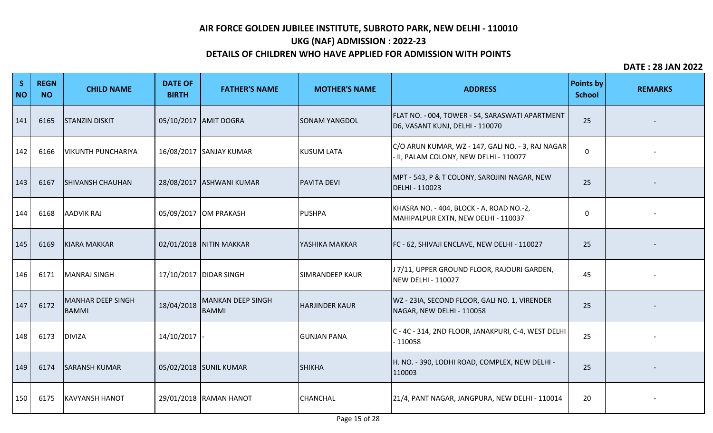# **UKG (NAF) ADMISSION : 2022-23**

## **DETAILS OF CHILDREN WHO HAVE APPLIED FOR ADMISSION WITH POINTS**

| S<br><b>NO</b> | <b>REGN</b><br><b>NO</b> | <b>CHILD NAME</b>          | <b>DATE OF</b><br><b>BIRTH</b> | <b>FATHER'S NAME</b>                     | <b>MOTHER'S NAME</b>   | <b>ADDRESS</b>                                                                              | <b>Points by</b><br><b>School</b> | <b>REMARKS</b> |
|----------------|--------------------------|----------------------------|--------------------------------|------------------------------------------|------------------------|---------------------------------------------------------------------------------------------|-----------------------------------|----------------|
| 141            | 6165                     | <b>ISTANZIN DISKIT</b>     |                                | 05/10/2017 AMIT DOGRA                    | <b>SONAM YANGDOL</b>   | FLAT NO. - 004, TOWER - S4, SARASWATI APARTMENT<br>D6, VASANT KUNJ, DELHI - 110070          | 25                                |                |
| 142            | 6166                     | <b>VIKUNTH PUNCHARIYA</b>  |                                | 16/08/2017 SANJAY KUMAR                  | <b>KUSUM LATA</b>      | C/O ARUN KUMAR, WZ - 147, GALI NO. - 3, RAJ NAGAR<br>- II, PALAM COLONY, NEW DELHI - 110077 | $\mathbf 0$                       |                |
| 143            | 6167                     | <b>SHIVANSH CHAUHAN</b>    |                                | 28/08/2017 ASHWANI KUMAR                 | <b>PAVITA DEVI</b>     | MPT - 543, P & T COLONY, SAROJINI NAGAR, NEW<br>DELHI - 110023                              | 25                                |                |
| 144            | 6168                     | <b>AADVIK RAJ</b>          |                                | 05/09/2017 OM PRAKASH                    | <b>PUSHPA</b>          | KHASRA NO. - 404, BLOCK - A, ROAD NO.-2,<br>MAHIPALPUR EXTN, NEW DELHI - 110037             | 0                                 |                |
| 145            | 6169                     | KIARA MAKKAR               |                                | 02/01/2018 NITIN MAKKAR                  | YASHIKA MAKKAR         | FC - 62, SHIVAJI ENCLAVE, NEW DELHI - 110027                                                | 25                                |                |
| 146            | 6171                     | MANRAJ SINGH               |                                | 17/10/2017 DIDAR SINGH                   | <b>SIMRANDEEP KAUR</b> | J 7/11, UPPER GROUND FLOOR, RAJOURI GARDEN,<br><b>NEW DELHI - 110027</b>                    | 45                                |                |
| 147            | 6172                     | MANHAR DEEP SINGH<br>BAMMI | 18/04/2018                     | <b>MANKAN DEEP SINGH</b><br><b>BAMMI</b> | <b>HARJINDER KAUR</b>  | WZ - 23IA, SECOND FLOOR, GALI NO. 1, VIRENDER<br>NAGAR, NEW DELHI - 110058                  | 25                                |                |
| 148            | 6173                     | <b>DIVIZA</b>              | 14/10/2017                     |                                          | <b>GUNJAN PANA</b>     | C - 4C - 314, 2ND FLOOR, JANAKPURI, C-4, WEST DELHI<br>$-110058$                            | 25                                |                |
| 149            | 6174                     | <b>SARANSH KUMAR</b>       |                                | 05/02/2018 SUNIL KUMAR                   | <b>SHIKHA</b>          | H. NO. - 390, LODHI ROAD, COMPLEX, NEW DELHI -<br>110003                                    | 25                                |                |
| 150            | 6175                     | <b>KAVYANSH HANOT</b>      |                                | 29/01/2018 RAMAN HANOT                   | <b>CHANCHAL</b>        | 21/4, PANT NAGAR, JANGPURA, NEW DELHI - 110014                                              | 20                                |                |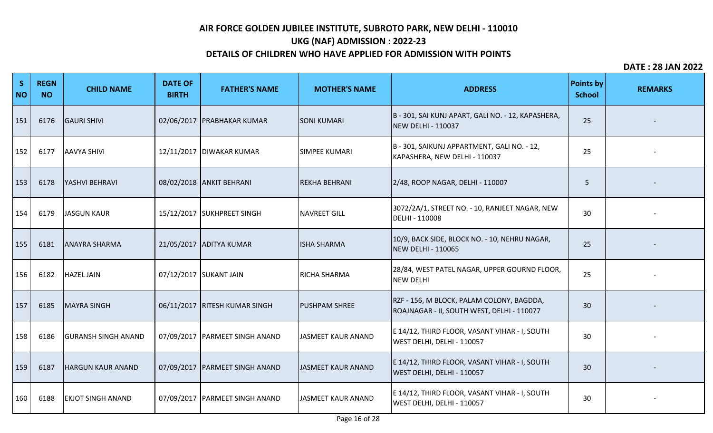# **UKG (NAF) ADMISSION : 2022-23**

## **DETAILS OF CHILDREN WHO HAVE APPLIED FOR ADMISSION WITH POINTS**

| $\mathsf{S}$<br><b>NO</b> | <b>REGN</b><br><b>NO</b> | <b>CHILD NAME</b>          | <b>DATE OF</b><br><b>BIRTH</b> | <b>FATHER'S NAME</b>             | <b>MOTHER'S NAME</b> | <b>ADDRESS</b>                                                                          | <b>Points by</b><br><b>School</b> | <b>REMARKS</b> |
|---------------------------|--------------------------|----------------------------|--------------------------------|----------------------------------|----------------------|-----------------------------------------------------------------------------------------|-----------------------------------|----------------|
| 151                       | 6176                     | <b>GAURI SHIVI</b>         |                                | 02/06/2017   PRABHAKAR KUMAR     | <b>SONI KUMARI</b>   | B - 301, SAI KUNJ APART, GALI NO. - 12, KAPASHERA,<br><b>NEW DELHI - 110037</b>         | 25                                |                |
| 152                       | 6177                     | <b>AAVYA SHIVI</b>         |                                | 12/11/2017   DIWAKAR KUMAR       | <b>SIMPEE KUMARI</b> | B - 301, SAIKUNJ APPARTMENT, GALI NO. - 12,<br>KAPASHERA, NEW DELHI - 110037            | 25                                |                |
| 153                       | 6178                     | YASHVI BEHRAVI             |                                | 08/02/2018 ANKIT BEHRANI         | <b>REKHA BEHRANI</b> | 2/48, ROOP NAGAR, DELHI - 110007                                                        | 5                                 |                |
| 154                       | 6179                     | <b>JASGUN KAUR</b>         |                                | 15/12/2017 SUKHPREET SINGH       | <b>NAVREET GILL</b>  | 3072/2A/1, STREET NO. - 10, RANJEET NAGAR, NEW<br>DELHI - 110008                        | 30                                |                |
| 155                       | 6181                     | <b>ANAYRA SHARMA</b>       |                                | 21/05/2017 ADITYA KUMAR          | <b>ISHA SHARMA</b>   | 10/9, BACK SIDE, BLOCK NO. - 10, NEHRU NAGAR,<br><b>NEW DELHI - 110065</b>              | 25                                |                |
| 156                       | 6182                     | <b>HAZEL JAIN</b>          |                                | 07/12/2017 SUKANT JAIN           | <b>RICHA SHARMA</b>  | 28/84, WEST PATEL NAGAR, UPPER GOURND FLOOR,<br><b>NEW DELHI</b>                        | 25                                |                |
| 157                       | 6185                     | <b>MAYRA SINGH</b>         |                                | 06/11/2017 RITESH KUMAR SINGH    | <b>PUSHPAM SHREE</b> | RZF - 156, M BLOCK, PALAM COLONY, BAGDDA,<br>ROAJNAGAR - II, SOUTH WEST, DELHI - 110077 | 30                                |                |
| 158                       | 6186                     | <b>GURANSH SINGH ANAND</b> |                                | 07/09/2017   PARMEET SINGH ANAND | JASMEET KAUR ANAND   | E 14/12, THIRD FLOOR, VASANT VIHAR - I, SOUTH<br>WEST DELHI, DELHI - 110057             | 30                                |                |
| 159                       | 6187                     | <b>HARGUN KAUR ANAND</b>   |                                | 07/09/2017   PARMEET SINGH ANAND | JASMEET KAUR ANAND   | E 14/12, THIRD FLOOR, VASANT VIHAR - I, SOUTH<br>WEST DELHI, DELHI - 110057             | 30                                |                |
| 160                       | 6188                     | <b>EKJOT SINGH ANAND</b>   |                                | 07/09/2017   PARMEET SINGH ANAND | JASMEET KAUR ANAND   | E 14/12, THIRD FLOOR, VASANT VIHAR - I, SOUTH<br>WEST DELHI, DELHI - 110057             | 30                                |                |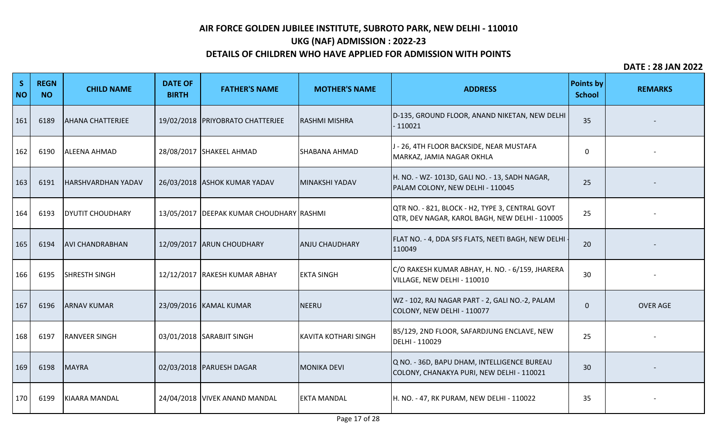# **UKG (NAF) ADMISSION : 2022-23**

## **DETAILS OF CHILDREN WHO HAVE APPLIED FOR ADMISSION WITH POINTS**

| S<br><b>NO</b> | <b>REGN</b><br><b>NO</b> | <b>CHILD NAME</b>         | <b>DATE OF</b><br><b>BIRTH</b> | <b>FATHER'S NAME</b>                       | <b>MOTHER'S NAME</b>  | <b>ADDRESS</b>                                                                                    | Points by<br><b>School</b> | <b>REMARKS</b>  |
|----------------|--------------------------|---------------------------|--------------------------------|--------------------------------------------|-----------------------|---------------------------------------------------------------------------------------------------|----------------------------|-----------------|
| 161            | 6189                     | <b>AHANA CHATTERJEE</b>   |                                | 19/02/2018   PRIYOBRATO CHATTERJEE         | <b>RASHMI MISHRA</b>  | D-135, GROUND FLOOR, ANAND NIKETAN, NEW DELHI<br>$-110021$                                        | 35                         |                 |
| 162            | 6190                     | <b>ALEENA AHMAD</b>       |                                | 28/08/2017 SHAKEEL AHMAD                   | <b>SHABANA AHMAD</b>  | J - 26, 4TH FLOOR BACKSIDE, NEAR MUSTAFA<br>MARKAZ, JAMIA NAGAR OKHLA                             | $\Omega$                   |                 |
| 163            | 6191                     | <b>HARSHVARDHAN YADAV</b> |                                | 26/03/2018 ASHOK KUMAR YADAV               | MINAKSHI YADAV        | H. NO. - WZ- 1013D, GALI NO. - 13, SADH NAGAR,<br>PALAM COLONY, NEW DELHI - 110045                | 25                         |                 |
| 164            | 6193                     | <b>DYUTIT CHOUDHARY</b>   |                                | 13/05/2017   DEEPAK KUMAR CHOUDHARY RASHMI |                       | QTR NO. - 821, BLOCK - H2, TYPE 3, CENTRAL GOVT<br>QTR, DEV NAGAR, KAROL BAGH, NEW DELHI - 110005 | 25                         |                 |
| 165            | 6194                     | <b>AVI CHANDRABHAN</b>    |                                | 12/09/2017 ARUN CHOUDHARY                  | <b>ANJU CHAUDHARY</b> | FLAT NO. - 4, DDA SFS FLATS, NEETI BAGH, NEW DELHI -<br>110049                                    | 20                         |                 |
| 166            | 6195                     | <b>SHRESTH SINGH</b>      |                                | 12/12/2017 RAKESH KUMAR ABHAY              | <b>EKTA SINGH</b>     | C/O RAKESH KUMAR ABHAY, H. NO. - 6/159, JHARERA<br>VILLAGE, NEW DELHI - 110010                    | 30                         |                 |
| 167            | 6196                     | <b>ARNAV KUMAR</b>        |                                | 23/09/2016   KAMAL KUMAR                   | NEERU                 | WZ - 102, RAJ NAGAR PART - 2, GALI NO.-2, PALAM<br>COLONY, NEW DELHI - 110077                     | $\mathbf{0}$               | <b>OVER AGE</b> |
| 168            | 6197                     | <b>RANVEER SINGH</b>      |                                | 03/01/2018 SARABJIT SINGH                  | KAVITA KOTHARI SINGH  | B5/129, 2ND FLOOR, SAFARDJUNG ENCLAVE, NEW<br>DELHI - 110029                                      | 25                         |                 |
| 169            | 6198                     | MAYRA                     |                                | 02/03/2018   PARUESH DAGAR                 | <b>MONIKA DEVI</b>    | Q NO. - 36D, BAPU DHAM, INTELLIGENCE BUREAU<br>COLONY, CHANAKYA PURI, NEW DELHI - 110021          | 30                         |                 |
| 170            | 6199                     | KIAARA MANDAL             |                                | 24/04/2018 VIVEK ANAND MANDAL              | <b>EKTA MANDAL</b>    | H. NO. - 47, RK PURAM, NEW DELHI - 110022                                                         | 35                         |                 |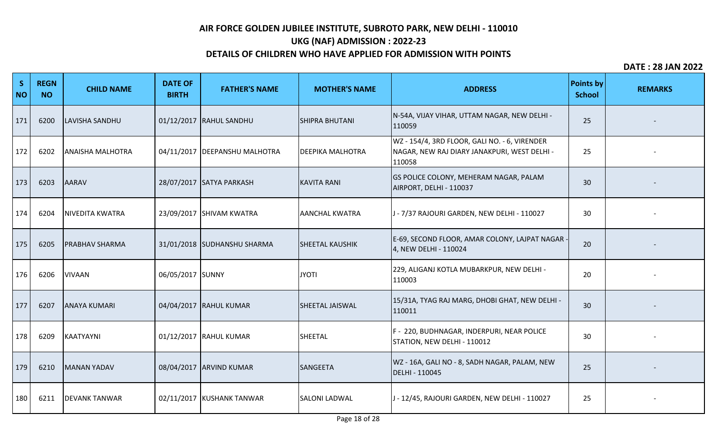# **UKG (NAF) ADMISSION : 2022-23**

## **DETAILS OF CHILDREN WHO HAVE APPLIED FOR ADMISSION WITH POINTS**

| S<br><b>NO</b> | <b>REGN</b><br><b>NO</b> | <b>CHILD NAME</b>       | <b>DATE OF</b><br><b>BIRTH</b> | <b>FATHER'S NAME</b>            | <b>MOTHER'S NAME</b>    | <b>ADDRESS</b>                                                                                          | <b>Points by</b><br><b>School</b> | <b>REMARKS</b> |
|----------------|--------------------------|-------------------------|--------------------------------|---------------------------------|-------------------------|---------------------------------------------------------------------------------------------------------|-----------------------------------|----------------|
| 171            | 6200                     | LAVISHA SANDHU          |                                | 01/12/2017 RAHUL SANDHU         | <b>SHIPRA BHUTANI</b>   | N-54A, VIJAY VIHAR, UTTAM NAGAR, NEW DELHI -<br>110059                                                  | 25                                |                |
| 172            | 6202                     | <b>ANAISHA MALHOTRA</b> |                                | 04/11/2017   DEEPANSHU MALHOTRA | <b>DEEPIKA MALHOTRA</b> | WZ - 154/4, 3RD FLOOR, GALI NO. - 6, VIRENDER<br>NAGAR, NEW RAJ DIARY JANAKPURI, WEST DELHI -<br>110058 | 25                                |                |
| 173            | 6203                     | <b>AARAV</b>            |                                | 28/07/2017 SATYA PARKASH        | <b>KAVITA RANI</b>      | <b>GS POLICE COLONY, MEHERAM NAGAR, PALAM</b><br>AIRPORT, DELHI - 110037                                | 30                                |                |
| 174            | 6204                     | <b>NIVEDITA KWATRA</b>  |                                | 23/09/2017 SHIVAM KWATRA        | <b>AANCHAL KWATRA</b>   | J - 7/37 RAJOURI GARDEN, NEW DELHI - 110027                                                             | 30                                |                |
| 175            | 6205                     | <b>PRABHAV SHARMA</b>   |                                | 31/01/2018 SUDHANSHU SHARMA     | <b>SHEETAL KAUSHIK</b>  | E-69, SECOND FLOOR, AMAR COLONY, LAJPAT NAGAR -<br>4, NEW DELHI - 110024                                | 20                                |                |
| 176            | 6206                     | <b>VIVAAN</b>           | 06/05/2017 SUNNY               |                                 | <b>JYOTI</b>            | 229, ALIGANJ KOTLA MUBARKPUR, NEW DELHI -<br>110003                                                     | 20                                |                |
| 177            | 6207                     | <b>ANAYA KUMARI</b>     |                                | 04/04/2017 RAHUL KUMAR          | <b>SHEETAL JAISWAL</b>  | 15/31A, TYAG RAJ MARG, DHOBI GHAT, NEW DELHI -<br>110011                                                | 30                                |                |
| 178            | 6209                     | KAATYAYNI               |                                | 01/12/2017 RAHUL KUMAR          | SHEETAL                 | F - 220, BUDHNAGAR, INDERPURI, NEAR POLICE<br>STATION, NEW DELHI - 110012                               | 30                                |                |
| 179            | 6210                     | MANAN YADAV             |                                | 08/04/2017 ARVIND KUMAR         | SANGEETA                | WZ - 16A, GALI NO - 8, SADH NAGAR, PALAM, NEW<br>DELHI - 110045                                         | 25                                |                |
| 180            | 6211                     | <b>DEVANK TANWAR</b>    |                                | 02/11/2017   KUSHANK TANWAR     | <b>SALONI LADWAL</b>    | J - 12/45, RAJOURI GARDEN, NEW DELHI - 110027                                                           | 25                                |                |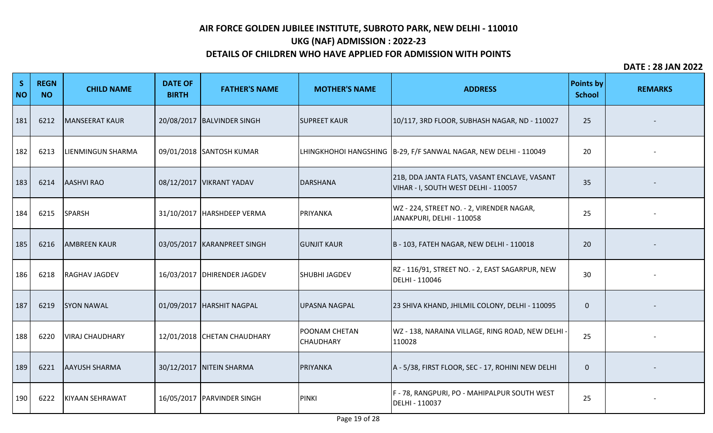# **UKG (NAF) ADMISSION : 2022-23**

### **DETAILS OF CHILDREN WHO HAVE APPLIED FOR ADMISSION WITH POINTS**

| S<br><b>NO</b> | <b>REGN</b><br><b>NO</b> | <b>CHILD NAME</b>      | <b>DATE OF</b><br><b>BIRTH</b> | <b>FATHER'S NAME</b>          | <b>MOTHER'S NAME</b>                     | <b>ADDRESS</b>                                                                       | <b>Points by</b><br><b>School</b> | <b>REMARKS</b> |
|----------------|--------------------------|------------------------|--------------------------------|-------------------------------|------------------------------------------|--------------------------------------------------------------------------------------|-----------------------------------|----------------|
| 181            | 6212                     | <b>MANSEERAT KAUR</b>  |                                | 20/08/2017 BALVINDER SINGH    | <b>SUPREET KAUR</b>                      | 10/117, 3RD FLOOR, SUBHASH NAGAR, ND - 110027                                        | 25                                |                |
| 182            | 6213                     | LIENMINGUN SHARMA      |                                | 09/01/2018 SANTOSH KUMAR      |                                          | LHINGKHOHOI HANGSHING B-29, F/F SANWAL NAGAR, NEW DELHI - 110049                     | 20                                |                |
| 183            | 6214                     | <b>AASHVI RAO</b>      |                                | 08/12/2017   VIKRANT YADAV    | <b>DARSHANA</b>                          | 21B, DDA JANTA FLATS, VASANT ENCLAVE, VASANT<br>VIHAR - I, SOUTH WEST DELHI - 110057 | 35                                |                |
| 184            | 6215                     | <b>SPARSH</b>          |                                | 31/10/2017 HARSHDEEP VERMA    | PRIYANKA                                 | WZ - 224, STREET NO. - 2, VIRENDER NAGAR,<br>JANAKPURI, DELHI - 110058               | 25                                |                |
| 185            | 6216                     | <b>AMBREEN KAUR</b>    |                                | 03/05/2017   KARANPREET SINGH | <b>GUNJIT KAUR</b>                       | B - 103, FATEH NAGAR, NEW DELHI - 110018                                             | 20                                |                |
| 186            | 6218                     | RAGHAV JAGDEV          |                                | 16/03/2017   DHIRENDER JAGDEV | <b>SHUBHI JAGDEV</b>                     | RZ - 116/91, STREET NO. - 2, EAST SAGARPUR, NEW<br>DELHI - 110046                    | 30                                |                |
| 187            | 6219                     | <b>SYON NAWAL</b>      |                                | 01/09/2017  HARSHIT NAGPAL    | <b>UPASNA NAGPAL</b>                     | 23 SHIVA KHAND, JHILMIL COLONY, DELHI - 110095                                       | $\mathbf 0$                       |                |
| 188            | 6220                     | <b>VIRAJ CHAUDHARY</b> |                                | 12/01/2018 CHETAN CHAUDHARY   | <b>POONAM CHETAN</b><br><b>CHAUDHARY</b> | WZ - 138, NARAINA VILLAGE, RING ROAD, NEW DELHI<br>110028                            | 25                                |                |
| 189            | 6221                     | <b>AAYUSH SHARMA</b>   |                                | 30/12/2017 NITEIN SHARMA      | PRIYANKA                                 | A - 5/38, FIRST FLOOR, SEC - 17, ROHINI NEW DELHI                                    | $\mathbf{0}$                      |                |
| 190            | 6222                     | <b>KIYAAN SEHRAWAT</b> |                                | 16/05/2017 PARVINDER SINGH    | <b>PINKI</b>                             | F - 78, RANGPURI, PO - MAHIPALPUR SOUTH WEST<br>DELHI - 110037                       | 25                                |                |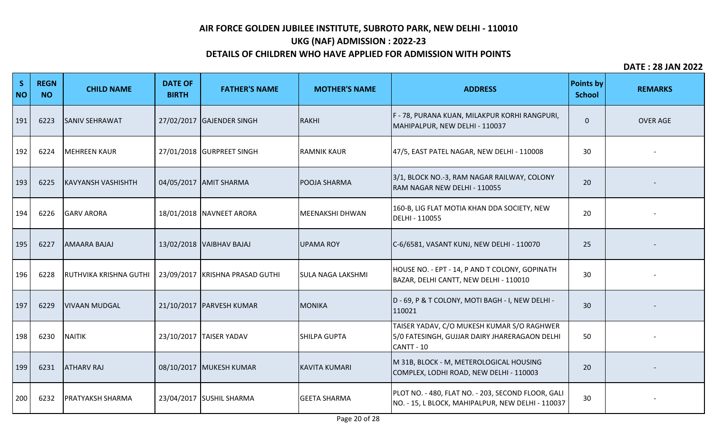# **UKG (NAF) ADMISSION : 2022-23**

## **DETAILS OF CHILDREN WHO HAVE APPLIED FOR ADMISSION WITH POINTS**

| S<br><b>NO</b> | <b>REGN</b><br><b>NO</b> | <b>CHILD NAME</b>         | <b>DATE OF</b><br><b>BIRTH</b> | <b>FATHER'S NAME</b>            | <b>MOTHER'S NAME</b>     | <b>ADDRESS</b>                                                                                            | <b>Points by</b><br><b>School</b> | <b>REMARKS</b>  |
|----------------|--------------------------|---------------------------|--------------------------------|---------------------------------|--------------------------|-----------------------------------------------------------------------------------------------------------|-----------------------------------|-----------------|
| 191            | 6223                     | <b>SANIV SEHRAWAT</b>     |                                | 27/02/2017 GAJENDER SINGH       | <b>RAKHI</b>             | F - 78, PURANA KUAN, MILAKPUR KORHI RANGPURI,<br>MAHIPALPUR, NEW DELHI - 110037                           | $\mathbf 0$                       | <b>OVER AGE</b> |
| 192            | 6224                     | <b>MEHREEN KAUR</b>       |                                | 27/01/2018 GURPREET SINGH       | <b>RAMNIK KAUR</b>       | 47/5, EAST PATEL NAGAR, NEW DELHI - 110008                                                                | 30                                |                 |
| 193            | 6225                     | <b>KAVYANSH VASHISHTH</b> |                                | 04/05/2017 AMIT SHARMA          | <b>POOJA SHARMA</b>      | 3/1, BLOCK NO.-3, RAM NAGAR RAILWAY, COLONY<br>RAM NAGAR NEW DELHI - 110055                               | 20                                |                 |
| 194            | 6226                     | <b>GARV ARORA</b>         |                                | 18/01/2018 NAVNEET ARORA        | MEENAKSHI DHWAN          | 160-B, LIG FLAT MOTIA KHAN DDA SOCIETY, NEW<br>DELHI - 110055                                             | 20                                |                 |
| 195            | 6227                     | <b>AMAARA BAJAJ</b>       |                                | 13/02/2018 VAIBHAV BAJAJ        | <b>UPAMA ROY</b>         | C-6/6581, VASANT KUNJ, NEW DELHI - 110070                                                                 | 25                                |                 |
| 196            | 6228                     | RUTHVIKA KRISHNA GUTHI    |                                | 23/09/2017 KRISHNA PRASAD GUTHI | <b>SULA NAGA LAKSHMI</b> | HOUSE NO. - EPT - 14, P AND T COLONY, GOPINATH<br>BAZAR, DELHI CANTT, NEW DELHI - 110010                  | 30                                |                 |
| 197            | 6229                     | <b>VIVAAN MUDGAL</b>      |                                | 21/10/2017   PARVESH KUMAR      | <b>MONIKA</b>            | D - 69, P & T COLONY, MOTI BAGH - I, NEW DELHI -<br>110021                                                | 30                                |                 |
| 198            | 6230                     | <b>NAITIK</b>             |                                | 23/10/2017 TAISER YADAV         | <b>SHILPA GUPTA</b>      | TAISER YADAV, C/O MUKESH KUMAR S/O RAGHWER<br>5/0 FATESINGH, GUJJAR DAIRY JHARERAGAON DELHI<br>CANTT - 10 | 50                                |                 |
| 199            | 6231                     | <b>ATHARV RAJ</b>         |                                | 08/10/2017 MUKESH KUMAR         | <b>KAVITA KUMARI</b>     | M 31B, BLOCK - M, METEROLOGICAL HOUSING<br>COMPLEX, LODHI ROAD, NEW DELHI - 110003                        | 20                                |                 |
| 200            | 6232                     | <b>PRATYAKSH SHARMA</b>   |                                | 23/04/2017 SUSHIL SHARMA        | <b>GEETA SHARMA</b>      | PLOT NO. - 480, FLAT NO. - 203, SECOND FLOOR, GALI<br>NO. - 15, L BLOCK, MAHIPALPUR, NEW DELHI - 110037   | 30                                |                 |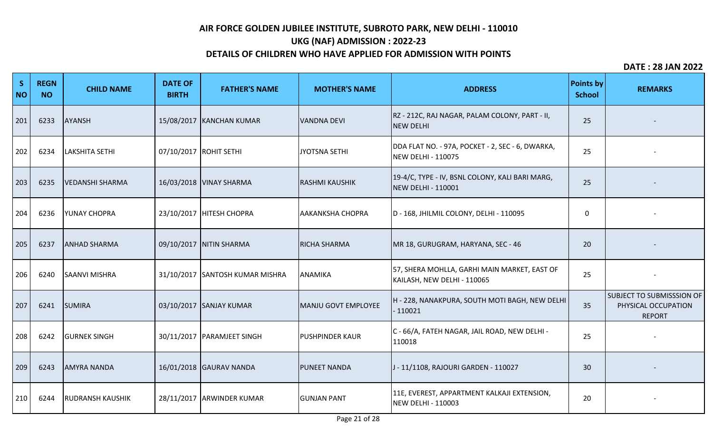# **UKG (NAF) ADMISSION : 2022-23**

## **DETAILS OF CHILDREN WHO HAVE APPLIED FOR ADMISSION WITH POINTS**

| S<br><b>NO</b> | <b>REGN</b><br><b>NO</b> | <b>CHILD NAME</b>       | <b>DATE OF</b><br><b>BIRTH</b> | <b>FATHER'S NAME</b>            | <b>MOTHER'S NAME</b>    | <b>ADDRESS</b>                                                                | <b>Points by</b><br><b>School</b> | <b>REMARKS</b>                                                    |
|----------------|--------------------------|-------------------------|--------------------------------|---------------------------------|-------------------------|-------------------------------------------------------------------------------|-----------------------------------|-------------------------------------------------------------------|
| 201            | 6233                     | <b>AYANSH</b>           |                                | 15/08/2017 KANCHAN KUMAR        | <b>VANDNA DEVI</b>      | RZ - 212C, RAJ NAGAR, PALAM COLONY, PART - II,<br><b>NEW DELHI</b>            | 25                                |                                                                   |
| 202            | 6234                     | LAKSHITA SETHI          |                                | 07/10/2017 ROHIT SETHI          | JYOTSNA SETHI           | DDA FLAT NO. - 97A, POCKET - 2, SEC - 6, DWARKA,<br><b>NEW DELHI - 110075</b> | 25                                |                                                                   |
| 203            | 6235                     | <b>VEDANSHI SHARMA</b>  |                                | 16/03/2018 VINAY SHARMA         | <b>RASHMI KAUSHIK</b>   | 19-4/C, TYPE - IV, BSNL COLONY, KALI BARI MARG,<br>NEW DELHI - 110001         | 25                                |                                                                   |
| 204            | 6236                     | <b>YUNAY CHOPRA</b>     |                                | 23/10/2017   HITESH CHOPRA      | <b>AAKANKSHA CHOPRA</b> | D - 168, JHILMIL COLONY, DELHI - 110095                                       | 0                                 |                                                                   |
| 205            | 6237                     | <b>ANHAD SHARMA</b>     |                                | 09/10/2017 NITIN SHARMA         | <b>RICHA SHARMA</b>     | MR 18, GURUGRAM, HARYANA, SEC - 46                                            | 20                                |                                                                   |
| 206            | 6240                     | <b>SAANVI MISHRA</b>    |                                | 31/10/2017 SANTOSH KUMAR MISHRA | ANAMIKA                 | 57, SHERA MOHLLA, GARHI MAIN MARKET, EAST OF<br>KAILASH, NEW DELHI - 110065   | 25                                |                                                                   |
| 207            | 6241                     | <b>SUMIRA</b>           |                                | 03/10/2017 SANJAY KUMAR         | MANJU GOVT EMPLOYEE     | H - 228, NANAKPURA, SOUTH MOTI BAGH, NEW DELHI<br>$-110021$                   | 35                                | SUBJECT TO SUBMISSSION OF<br>PHYSICAL OCCUPATION<br><b>REPORT</b> |
| 208            | 6242                     | <b>GURNEK SINGH</b>     |                                | 30/11/2017   PARAMJEET SINGH    | <b>PUSHPINDER KAUR</b>  | C - 66/A, FATEH NAGAR, JAIL ROAD, NEW DELHI -<br>110018                       | 25                                |                                                                   |
| 209            | 6243                     | <b>AMYRA NANDA</b>      |                                | 16/01/2018 GAURAV NANDA         | <b>PUNEET NANDA</b>     | J - 11/1108, RAJOURI GARDEN - 110027                                          | 30                                |                                                                   |
| 210            | 6244                     | <b>RUDRANSH KAUSHIK</b> |                                | 28/11/2017 ARWINDER KUMAR       | <b>GUNJAN PANT</b>      | 11E, EVEREST, APPARTMENT KALKAJI EXTENSION,<br>NEW DELHI - 110003             | 20                                |                                                                   |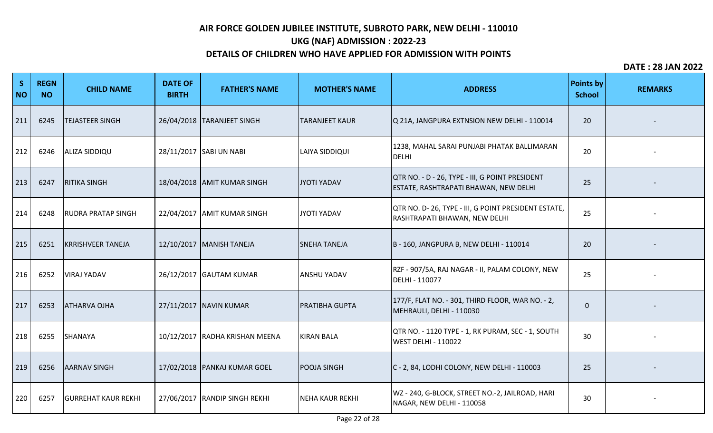# **UKG (NAF) ADMISSION : 2022-23**

### **DETAILS OF CHILDREN WHO HAVE APPLIED FOR ADMISSION WITH POINTS**

| S<br><b>NO</b> | <b>REGN</b><br><b>NO</b> | <b>CHILD NAME</b>          | <b>DATE OF</b><br><b>BIRTH</b> | <b>FATHER'S NAME</b>           | <b>MOTHER'S NAME</b>  | <b>ADDRESS</b>                                                                           | <b>Points by</b><br><b>School</b> | <b>REMARKS</b> |
|----------------|--------------------------|----------------------------|--------------------------------|--------------------------------|-----------------------|------------------------------------------------------------------------------------------|-----------------------------------|----------------|
| 211            | 6245                     | <b>TEJASTEER SINGH</b>     |                                | 26/04/2018   TARANJEET SINGH   | <b>TARANJEET KAUR</b> | Q 21A, JANGPURA EXTNSION NEW DELHI - 110014                                              | 20                                |                |
| 212            | 6246                     | <b>ALIZA SIDDIQU</b>       |                                | 28/11/2017 SABI UN NABI        | <b>LAIYA SIDDIQUI</b> | 1238, MAHAL SARAI PUNJABI PHATAK BALLIMARAN<br>DELHI                                     | 20                                |                |
| 213            | 6247                     | <b>RITIKA SINGH</b>        |                                | 18/04/2018 AMIT KUMAR SINGH    | JYOTI YADAV           | QTR NO. - D - 26, TYPE - III, G POINT PRESIDENT<br>ESTATE, RASHTRAPATI BHAWAN, NEW DELHI | 25                                |                |
| 214            | 6248                     | <b>RUDRA PRATAP SINGH</b>  |                                | 22/04/2017 AMIT KUMAR SINGH    | JYOTI YADAV           | QTR NO. D- 26, TYPE - III, G POINT PRESIDENT ESTATE,<br>RASHTRAPATI BHAWAN, NEW DELHI    | 25                                |                |
| 215            | 6251                     | <b>KRRISHVEER TANEJA</b>   |                                | 12/10/2017 MANISH TANEJA       | <b>SNEHA TANEJA</b>   | B - 160, JANGPURA B, NEW DELHI - 110014                                                  | 20                                |                |
| 216            | 6252                     | <b>VIRAJ YADAV</b>         |                                | 26/12/2017 GAUTAM KUMAR        | <b>ANSHU YADAV</b>    | RZF - 907/5A, RAJ NAGAR - II, PALAM COLONY, NEW<br>DELHI - 110077                        | 25                                |                |
| 217            | 6253                     | <b>ATHARVA OJHA</b>        |                                | 27/11/2017 NAVIN KUMAR         | <b>PRATIBHA GUPTA</b> | 177/F, FLAT NO. - 301, THIRD FLOOR, WAR NO. - 2,<br>MEHRAULI, DELHI - 110030             | $\mathbf 0$                       |                |
| 218            | 6255                     | SHANAYA                    |                                | 10/12/2017 RADHA KRISHAN MEENA | <b>KIRAN BALA</b>     | QTR NO. - 1120 TYPE - 1, RK PURAM, SEC - 1, SOUTH<br><b>WEST DELHI - 110022</b>          | 30                                |                |
| 219            | 6256                     | <b>AARNAV SINGH</b>        |                                | 17/02/2018   PANKAJ KUMAR GOEL | <b>POOJA SINGH</b>    | C - 2, 84, LODHI COLONY, NEW DELHI - 110003                                              | 25                                |                |
| 220            | 6257                     | <b>GURREHAT KAUR REKHI</b> |                                | 27/06/2017 RANDIP SINGH REKHI  | NEHA KAUR REKHI       | WZ - 240, G-BLOCK, STREET NO.-2, JAILROAD, HARI<br>NAGAR, NEW DELHI - 110058             | 30                                |                |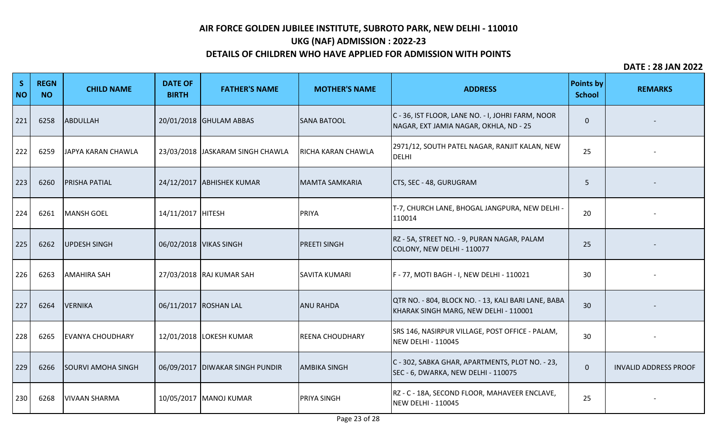# **UKG (NAF) ADMISSION : 2022-23**

## **DETAILS OF CHILDREN WHO HAVE APPLIED FOR ADMISSION WITH POINTS**

| S<br><b>NO</b> | <b>REGN</b><br><b>NO</b> | <b>CHILD NAME</b>         | <b>DATE OF</b><br><b>BIRTH</b> | <b>FATHER'S NAME</b>              | <b>MOTHER'S NAME</b>      | <b>ADDRESS</b>                                                                               | <b>Points by</b><br><b>School</b> | <b>REMARKS</b>               |
|----------------|--------------------------|---------------------------|--------------------------------|-----------------------------------|---------------------------|----------------------------------------------------------------------------------------------|-----------------------------------|------------------------------|
| 221            | 6258                     | ABDULLAH                  |                                | 20/01/2018 GHULAM ABBAS           | <b>SANA BATOOL</b>        | C - 36, IST FLOOR, LANE NO. - I, JOHRI FARM, NOOR<br>NAGAR, EXT JAMIA NAGAR, OKHLA, ND - 25  | $\Omega$                          |                              |
| 222            | 6259                     | JAPYA KARAN CHAWLA        |                                | 23/03/2018 JASKARAM SINGH CHAWLA  | <b>RICHA KARAN CHAWLA</b> | 2971/12, SOUTH PATEL NAGAR, RANJIT KALAN, NEW<br><b>DELHI</b>                                | 25                                |                              |
| 223            | 6260                     | <b>PRISHA PATIAL</b>      |                                | 24/12/2017 ABHISHEK KUMAR         | MAMTA SAMKARIA            | CTS, SEC - 48, GURUGRAM                                                                      | 5                                 |                              |
| 224            | 6261                     | MANSH GOEL                | 14/11/2017 HITESH              |                                   | PRIYA                     | T-7, CHURCH LANE, BHOGAL JANGPURA, NEW DELHI -<br>110014                                     | 20                                |                              |
| 225            | 6262                     | UPDESH SINGH              |                                | 06/02/2018 VIKAS SINGH            | <b>PREETI SINGH</b>       | RZ - 5A, STREET NO. - 9, PURAN NAGAR, PALAM<br>COLONY, NEW DELHI - 110077                    | 25                                |                              |
| 226            | 6263                     | <b>AMAHIRA SAH</b>        |                                | 27/03/2018 RAJ KUMAR SAH          | <b>SAVITA KUMARI</b>      | F - 77, MOTI BAGH - I, NEW DELHI - 110021                                                    | 30                                |                              |
| 227            | 6264                     | <b>VERNIKA</b>            |                                | 06/11/2017 ROSHAN LAL             | <b>ANU RAHDA</b>          | QTR NO. - 804, BLOCK NO. - 13, KALI BARI LANE, BABA<br>KHARAK SINGH MARG, NEW DELHI - 110001 | 30                                |                              |
| 228            | 6265                     | <b>EVANYA CHOUDHARY</b>   |                                | 12/01/2018 LOKESH KUMAR           | <b>REENA CHOUDHARY</b>    | SRS 146, NASIRPUR VILLAGE, POST OFFICE - PALAM,<br>NEW DELHI - 110045                        | 30                                |                              |
| 229            | 6266                     | <b>SOURVI AMOHA SINGH</b> |                                | 06/09/2017   DIWAKAR SINGH PUNDIR | <b>AMBIKA SINGH</b>       | C - 302, SABKA GHAR, APARTMENTS, PLOT NO. - 23,<br>SEC - 6, DWARKA, NEW DELHI - 110075       | $\pmb{0}$                         | <b>INVALID ADDRESS PROOF</b> |
| 230            | 6268                     | <b>VIVAAN SHARMA</b>      |                                | 10/05/2017   MANOJ KUMAR          | <b>PRIYA SINGH</b>        | RZ - C - 18A, SECOND FLOOR, MAHAVEER ENCLAVE,<br><b>NEW DELHI - 110045</b>                   | 25                                |                              |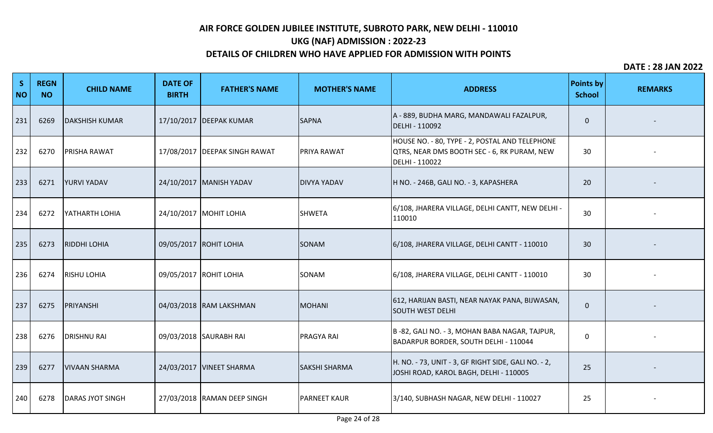# **UKG (NAF) ADMISSION : 2022-23**

## **DETAILS OF CHILDREN WHO HAVE APPLIED FOR ADMISSION WITH POINTS**

| S<br><b>NO</b> | <b>REGN</b><br><b>NO</b> | <b>CHILD NAME</b>       | <b>DATE OF</b><br><b>BIRTH</b> | <b>FATHER'S NAME</b>            | <b>MOTHER'S NAME</b> | <b>ADDRESS</b>                                                                                                  | <b>Points by</b><br><b>School</b> | <b>REMARKS</b> |
|----------------|--------------------------|-------------------------|--------------------------------|---------------------------------|----------------------|-----------------------------------------------------------------------------------------------------------------|-----------------------------------|----------------|
| 231            | 6269                     | <b>DAKSHISH KUMAR</b>   |                                | 17/10/2017   DEEPAK KUMAR       | <b>SAPNA</b>         | A - 889, BUDHA MARG, MANDAWALI FAZALPUR,<br>DELHI - 110092                                                      | $\mathbf 0$                       |                |
| 232            | 6270                     | <b>PRISHA RAWAT</b>     |                                | 17/08/2017   DEEPAK SINGH RAWAT | <b>PRIYA RAWAT</b>   | HOUSE NO. - 80, TYPE - 2, POSTAL AND TELEPHONE<br>QTRS, NEAR DMS BOOTH SEC - 6, RK PURAM, NEW<br>DELHI - 110022 | 30                                |                |
| 233            | 6271                     | <b>YURVI YADAV</b>      |                                | 24/10/2017   MANISH YADAV       | <b>DIVYA YADAV</b>   | H NO. - 246B, GALI NO. - 3, KAPASHERA                                                                           | 20                                |                |
| 234            | 6272                     | YATHARTH LOHIA          |                                | 24/10/2017 MOHIT LOHIA          | <b>SHWETA</b>        | 6/108, JHARERA VILLAGE, DELHI CANTT, NEW DELHI -<br>110010                                                      | 30                                |                |
| 235            | 6273                     | <b>RIDDHI LOHIA</b>     |                                | 09/05/2017 ROHIT LOHIA          | SONAM                | 6/108, JHARERA VILLAGE, DELHI CANTT - 110010                                                                    | 30                                |                |
| 236            | 6274                     | <b>RISHU LOHIA</b>      |                                | 09/05/2017 ROHIT LOHIA          | SONAM                | 6/108, JHARERA VILLAGE, DELHI CANTT - 110010                                                                    | 30                                |                |
| 237            | 6275                     | PRIYANSHI               |                                | 04/03/2018 RAM LAKSHMAN         | <b>MOHANI</b>        | 612, HARIJAN BASTI, NEAR NAYAK PANA, BIJWASAN,<br><b>SOUTH WEST DELHI</b>                                       | $\mathbf 0$                       |                |
| 238            | 6276                     | <b>DRISHNU RAI</b>      |                                | 09/03/2018 SAURABH RAI          | <b>PRAGYA RAI</b>    | B-82, GALI NO. - 3, MOHAN BABA NAGAR, TAJPUR,<br>BADARPUR BORDER, SOUTH DELHI - 110044                          | 0                                 |                |
| 239            | 6277                     | <b>VIVAAN SHARMA</b>    |                                | 24/03/2017   VINEET SHARMA      | <b>SAKSHI SHARMA</b> | H. NO. - 73, UNIT - 3, GF RIGHT SIDE, GALI NO. - 2,<br>JOSHI ROAD, KAROL BAGH, DELHI - 110005                   | 25                                |                |
| 240            | 6278                     | <b>DARAS JYOT SINGH</b> |                                | 27/03/2018 RAMAN DEEP SINGH     | <b>PARNEET KAUR</b>  | 3/140, SUBHASH NAGAR, NEW DELHI - 110027                                                                        | 25                                |                |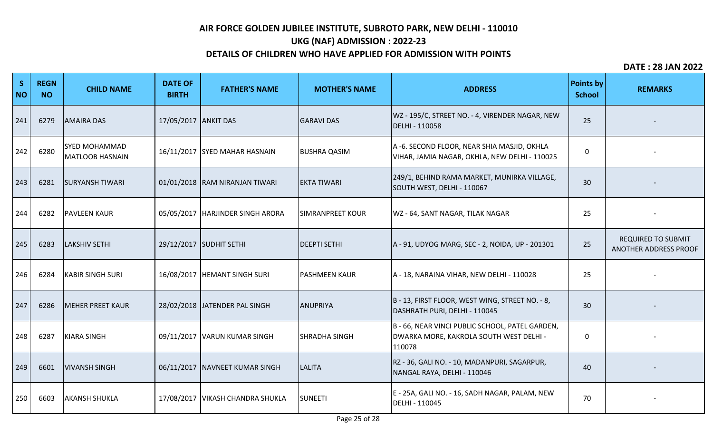# **UKG (NAF) ADMISSION : 2022-23**

### **DETAILS OF CHILDREN WHO HAVE APPLIED FOR ADMISSION WITH POINTS**

| S<br><b>NO</b> | <b>REGN</b><br><b>NO</b> | <b>CHILD NAME</b>                              | <b>DATE OF</b><br><b>BIRTH</b> | <b>FATHER'S NAME</b>               | <b>MOTHER'S NAME</b>    | <b>ADDRESS</b>                                                                                       | <b>Points by</b><br><b>School</b> | <b>REMARKS</b>                                     |
|----------------|--------------------------|------------------------------------------------|--------------------------------|------------------------------------|-------------------------|------------------------------------------------------------------------------------------------------|-----------------------------------|----------------------------------------------------|
| 241            | 6279                     | <b>AMAIRA DAS</b>                              | 17/05/2017 ANKIT DAS           |                                    | <b>GARAVI DAS</b>       | WZ - 195/C, STREET NO. - 4, VIRENDER NAGAR, NEW<br>DELHI - 110058                                    | 25                                |                                                    |
| 242            | 6280                     | <b>SYED MOHAMMAD</b><br><b>MATLOOB HASNAIN</b> |                                | 16/11/2017 SYED MAHAR HASNAIN      | <b>BUSHRA QASIM</b>     | A -6. SECOND FLOOR, NEAR SHIA MASJID, OKHLA<br>VIHAR, JAMIA NAGAR, OKHLA, NEW DELHI - 110025         | 0                                 |                                                    |
| 243            | 6281                     | <b>SURYANSH TIWARI</b>                         |                                | 01/01/2018 RAM NIRANJAN TIWARI     | <b>EKTA TIWARI</b>      | 249/1, BEHIND RAMA MARKET, MUNIRKA VILLAGE,<br>SOUTH WEST, DELHI - 110067                            | 30                                |                                                    |
| 244            | 6282                     | <b>PAVLEEN KAUR</b>                            |                                | 05/05/2017   HARJINDER SINGH ARORA | <b>SIMRANPREET KOUR</b> | WZ - 64, SANT NAGAR, TILAK NAGAR                                                                     | 25                                |                                                    |
| 245            | 6283                     | <b>LAKSHIV SETHI</b>                           |                                | 29/12/2017 SUDHIT SETHI            | <b>DEEPTI SETHI</b>     | A - 91, UDYOG MARG, SEC - 2, NOIDA, UP - 201301                                                      | 25                                | <b>REQUIRED TO SUBMIT</b><br>ANOTHER ADDRESS PROOF |
| 246            | 6284                     | <b>KABIR SINGH SURI</b>                        |                                | 16/08/2017  HEMANT SINGH SURI      | <b>PASHMEEN KAUR</b>    | A - 18, NARAINA VIHAR, NEW DELHI - 110028                                                            | 25                                |                                                    |
| 247            | 6286                     | <b>MEHER PREET KAUR</b>                        |                                | 28/02/2018 JATENDER PAL SINGH      | ANUPRIYA                | B-13, FIRST FLOOR, WEST WING, STREET NO. - 8,<br>DASHRATH PURI, DELHI - 110045                       | 30                                |                                                    |
| 248            | 6287                     | KIARA SINGH                                    |                                | 09/11/2017   VARUN KUMAR SINGH     | <b>SHRADHA SINGH</b>    | B - 66, NEAR VINCI PUBLIC SCHOOL, PATEL GARDEN,<br>DWARKA MORE, KAKROLA SOUTH WEST DELHI -<br>110078 | 0                                 |                                                    |
| 249            | 6601                     | <b>VIVANSH SINGH</b>                           |                                | 06/11/2017   NAVNEET KUMAR SINGH   | <b>LALITA</b>           | RZ - 36, GALI NO. - 10, MADANPURI, SAGARPUR,<br>NANGAL RAYA, DELHI - 110046                          | 40                                |                                                    |
| 250            | 6603                     | <b>AKANSH SHUKLA</b>                           |                                | 17/08/2017   VIKASH CHANDRA SHUKLA | <b>SUNEETI</b>          | E - 25A, GALI NO. - 16, SADH NAGAR, PALAM, NEW<br>DELHI - 110045                                     | 70                                |                                                    |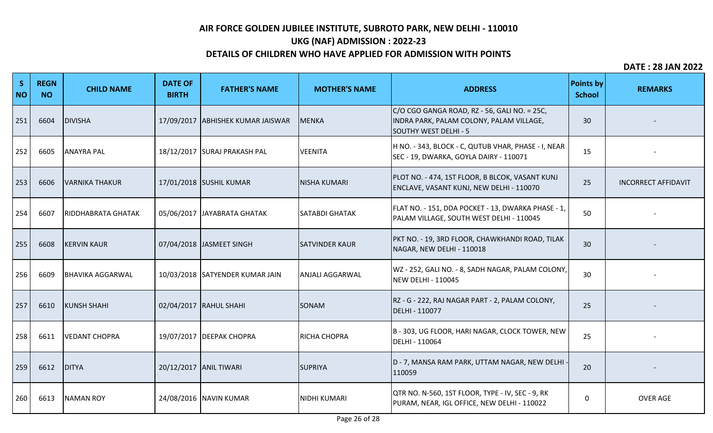# **UKG (NAF) ADMISSION : 2022-23**

## **DETAILS OF CHILDREN WHO HAVE APPLIED FOR ADMISSION WITH POINTS**

| S<br><b>NO</b> | <b>REGN</b><br><b>NO</b> | <b>CHILD NAME</b>         | <b>DATE OF</b><br><b>BIRTH</b> | <b>FATHER'S NAME</b>            | <b>MOTHER'S NAME</b>  | <b>ADDRESS</b>                                                                                                    | <b>Points by</b><br><b>School</b> | <b>REMARKS</b>             |
|----------------|--------------------------|---------------------------|--------------------------------|---------------------------------|-----------------------|-------------------------------------------------------------------------------------------------------------------|-----------------------------------|----------------------------|
| 251            | 6604                     | <b>DIVISHA</b>            | 17/09/2017                     | <b>ABHISHEK KUMAR JAISWAR</b>   | MENKA                 | C/O CGO GANGA ROAD, RZ - 56, GALI NO. = 25C,<br>INDRA PARK, PALAM COLONY, PALAM VILLAGE,<br>SOUTHY WEST DELHI - 5 | 30                                |                            |
| 252            | 6605                     | <b>ANAYRA PAL</b>         |                                | 18/12/2017 SURAJ PRAKASH PAL    | <b>VEENITA</b>        | H NO. - 343, BLOCK - C, QUTUB VHAR, PHASE - I, NEAR<br>SEC - 19, DWARKA, GOYLA DAIRY - 110071                     | 15                                |                            |
| 253            | 6606                     | <b>VARNIKA THAKUR</b>     |                                | 17/01/2018 SUSHIL KUMAR         | NISHA KUMARI          | PLOT NO. - 474, 1ST FLOOR, B BLCOK, VASANT KUNJ<br>ENCLAVE, VASANT KUNJ, NEW DELHI - 110070                       | 25                                | <b>INCORRECT AFFIDAVIT</b> |
| 254            | 6607                     | <b>RIDDHABRATA GHATAK</b> |                                | 05/06/2017 JAYABRATA GHATAK     | <b>SATABDI GHATAK</b> | FLAT NO. - 151, DDA POCKET - 13, DWARKA PHASE - 1,<br>PALAM VILLAGE, SOUTH WEST DELHI - 110045                    | 50                                |                            |
| 255            | 6608                     | <b>KERVIN KAUR</b>        |                                | 07/04/2018 JASMEET SINGH        | <b>SATVINDER KAUR</b> | PKT NO. - 19, 3RD FLOOR, CHAWKHANDI ROAD, TILAK<br>NAGAR, NEW DELHI - 110018                                      | 30                                |                            |
| 256            | 6609                     | <b>BHAVIKA AGGARWAL</b>   |                                | 10/03/2018 SATYENDER KUMAR JAIN | ANJALI AGGARWAL       | WZ - 252, GALI NO. - 8, SADH NAGAR, PALAM COLONY,<br><b>NEW DELHI - 110045</b>                                    | 30                                |                            |
| 257            | 6610                     | <b>KUNSH SHAHI</b>        |                                | 02/04/2017   RAHUL SHAHI        | <b>SONAM</b>          | RZ - G - 222, RAJ NAGAR PART - 2, PALAM COLONY,<br>DELHI - 110077                                                 | 25                                |                            |
| 258            | 6611                     | <b>VEDANT CHOPRA</b>      |                                | 19/07/2017 DEEPAK CHOPRA        | <b>RICHA CHOPRA</b>   | B - 303, UG FLOOR, HARI NAGAR, CLOCK TOWER, NEW<br>DELHI - 110064                                                 | 25                                |                            |
| 259            | 6612                     | DITYA                     |                                | 20/12/2017 ANIL TIWARI          | <b>SUPRIYA</b>        | D - 7, MANSA RAM PARK, UTTAM NAGAR, NEW DELHI<br>110059                                                           | 20                                |                            |
| 260            | 6613                     | <b>NAMAN ROY</b>          |                                | 24/08/2016 NAVIN KUMAR          | NIDHI KUMARI          | QTR NO. N-560, 1ST FLOOR, TYPE - IV, SEC - 9, RK<br>PURAM, NEAR, IGL OFFICE, NEW DELHI - 110022                   | $\Omega$                          | <b>OVER AGE</b>            |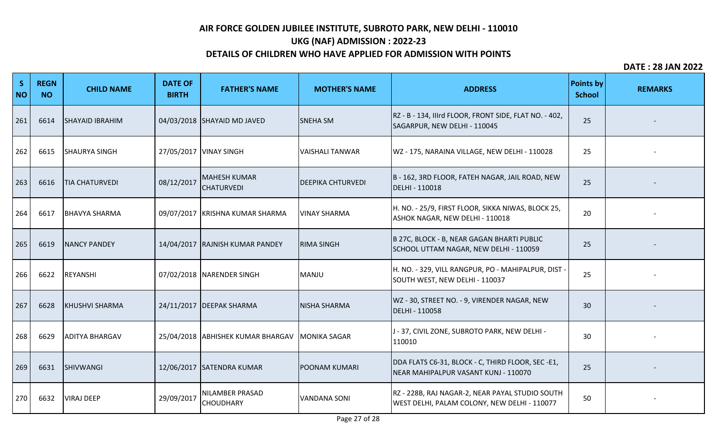# **UKG (NAF) ADMISSION : 2022-23**

## **DETAILS OF CHILDREN WHO HAVE APPLIED FOR ADMISSION WITH POINTS**

| S<br><b>NO</b> | <b>REGN</b><br><b>NO</b> | <b>CHILD NAME</b>      | <b>DATE OF</b><br><b>BIRTH</b> | <b>FATHER'S NAME</b>                     | <b>MOTHER'S NAME</b>     | <b>ADDRESS</b>                                                                                  | <b>Points by</b><br><b>School</b> | <b>REMARKS</b> |
|----------------|--------------------------|------------------------|--------------------------------|------------------------------------------|--------------------------|-------------------------------------------------------------------------------------------------|-----------------------------------|----------------|
| 261            | 6614                     | <b>SHAYAID IBRAHIM</b> |                                | 04/03/2018 SHAYAID MD JAVED              | <b>SNEHA SM</b>          | RZ - B - 134, IIIrd FLOOR, FRONT SIDE, FLAT NO. - 402,<br>SAGARPUR, NEW DELHI - 110045          | 25                                |                |
| 262            | 6615                     | <b>SHAURYA SINGH</b>   |                                | 27/05/2017   VINAY SINGH                 | <b>VAISHALI TANWAR</b>   | WZ - 175, NARAINA VILLAGE, NEW DELHI - 110028                                                   | 25                                |                |
| 263            | 6616                     | <b>TIA CHATURVEDI</b>  | 08/12/2017                     | <b>MAHESH KUMAR</b><br><b>CHATURVEDI</b> | <b>DEEPIKA CHTURVEDI</b> | B - 162, 3RD FLOOR, FATEH NAGAR, JAIL ROAD, NEW<br>DELHI - 110018                               | 25                                |                |
| 264            | 6617                     | <b>BHAVYA SHARMA</b>   |                                | 09/07/2017 KRISHNA KUMAR SHARMA          | <b>VINAY SHARMA</b>      | H. NO. - 25/9, FIRST FLOOR, SIKKA NIWAS, BLOCK 25,<br>ASHOK NAGAR, NEW DELHI - 110018           | 20                                |                |
| 265            | 6619                     | <b>NANCY PANDEY</b>    |                                | 14/04/2017 RAJNISH KUMAR PANDEY          | <b>RIMA SINGH</b>        | B 27C, BLOCK - B, NEAR GAGAN BHARTI PUBLIC<br>SCHOOL UTTAM NAGAR, NEW DELHI - 110059            | 25                                |                |
| 266            | 6622                     | REYANSHI               |                                | 07/02/2018 NARENDER SINGH                | <b>MANJU</b>             | H. NO. - 329, VILL RANGPUR, PO - MAHIPALPUR, DIST -<br>SOUTH WEST, NEW DELHI - 110037           | 25                                |                |
| 267            | 6628                     | <b>KHUSHVI SHARMA</b>  |                                | 24/11/2017   DEEPAK SHARMA               | <b>NISHA SHARMA</b>      | WZ - 30, STREET NO. - 9, VIRENDER NAGAR, NEW<br>DELHI - 110058                                  | 30                                |                |
| 268            | 6629                     | <b>ADITYA BHARGAV</b>  |                                | 25/04/2018 ABHISHEK KUMAR BHARGAV        | <b>MONIKA SAGAR</b>      | J - 37, CIVIL ZONE, SUBROTO PARK, NEW DELHI -<br>110010                                         | 30                                |                |
| 269            | 6631                     | SHIVWANGI              |                                | 12/06/2017 SATENDRA KUMAR                | <b>POONAM KUMARI</b>     | DDA FLATS C6-31, BLOCK - C, THIRD FLOOR, SEC -E1,<br>NEAR MAHIPALPUR VASANT KUNJ - 110070       | 25                                |                |
| 270            | 6632                     | <b>VIRAJ DEEP</b>      | 29/09/2017                     | NILAMBER PRASAD<br><b>CHOUDHARY</b>      | <b>VANDANA SONI</b>      | RZ - 228B, RAJ NAGAR-2, NEAR PAYAL STUDIO SOUTH<br>WEST DELHI, PALAM COLONY, NEW DELHI - 110077 | 50                                |                |